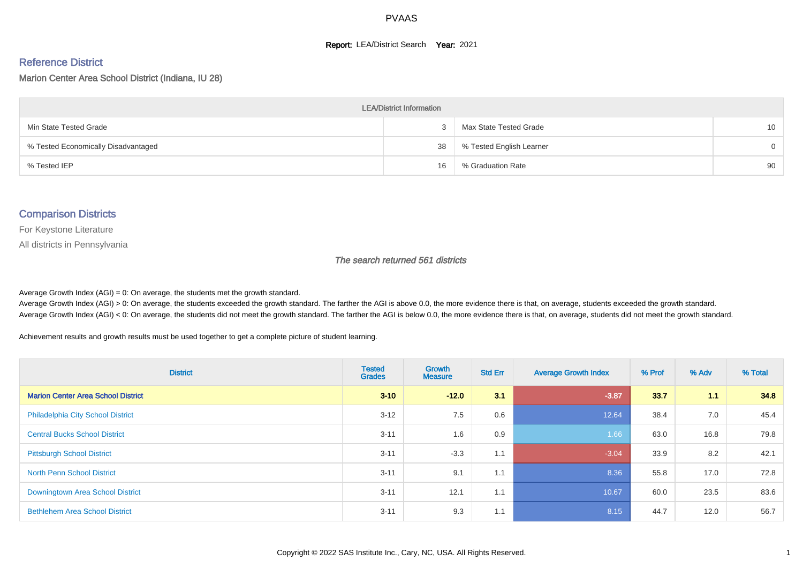#### **Report: LEA/District Search Year: 2021**

#### Reference District

Marion Center Area School District (Indiana, IU 28)

| <b>LEA/District Information</b>     |    |                          |                 |  |  |  |  |  |  |  |
|-------------------------------------|----|--------------------------|-----------------|--|--|--|--|--|--|--|
| Min State Tested Grade              |    | Max State Tested Grade   | 10 <sup>1</sup> |  |  |  |  |  |  |  |
| % Tested Economically Disadvantaged | 38 | % Tested English Learner | $\Omega$        |  |  |  |  |  |  |  |
| % Tested IEP                        | 16 | % Graduation Rate        | 90              |  |  |  |  |  |  |  |

#### Comparison Districts

For Keystone Literature

All districts in Pennsylvania

The search returned 561 districts

Average Growth Index  $(AGI) = 0$ : On average, the students met the growth standard.

Average Growth Index (AGI) > 0: On average, the students exceeded the growth standard. The farther the AGI is above 0.0, the more evidence there is that, on average, students exceeded the growth standard. Average Growth Index (AGI) < 0: On average, the students did not meet the growth standard. The farther the AGI is below 0.0, the more evidence there is that, on average, students did not meet the growth standard.

Achievement results and growth results must be used together to get a complete picture of student learning.

| <b>District</b>                           | <b>Tested</b><br><b>Grades</b> | <b>Growth</b><br><b>Measure</b> | <b>Std Err</b> | <b>Average Growth Index</b> | % Prof | % Adv | % Total |
|-------------------------------------------|--------------------------------|---------------------------------|----------------|-----------------------------|--------|-------|---------|
| <b>Marion Center Area School District</b> | $3 - 10$                       | $-12.0$                         | 3.1            | $-3.87$                     | 33.7   | 1.1   | 34.8    |
| <b>Philadelphia City School District</b>  | $3 - 12$                       | 7.5                             | 0.6            | 12.64                       | 38.4   | 7.0   | 45.4    |
| <b>Central Bucks School District</b>      | $3 - 11$                       | 1.6                             | 0.9            | 1.66                        | 63.0   | 16.8  | 79.8    |
| <b>Pittsburgh School District</b>         | $3 - 11$                       | $-3.3$                          | 1.1            | $-3.04$                     | 33.9   | 8.2   | 42.1    |
| <b>North Penn School District</b>         | $3 - 11$                       | 9.1                             | 1.1            | 8.36                        | 55.8   | 17.0  | 72.8    |
| Downingtown Area School District          | $3 - 11$                       | 12.1                            | 1.1            | 10.67                       | 60.0   | 23.5  | 83.6    |
| <b>Bethlehem Area School District</b>     | $3 - 11$                       | 9.3                             | 1.1            | 8.15                        | 44.7   | 12.0  | 56.7    |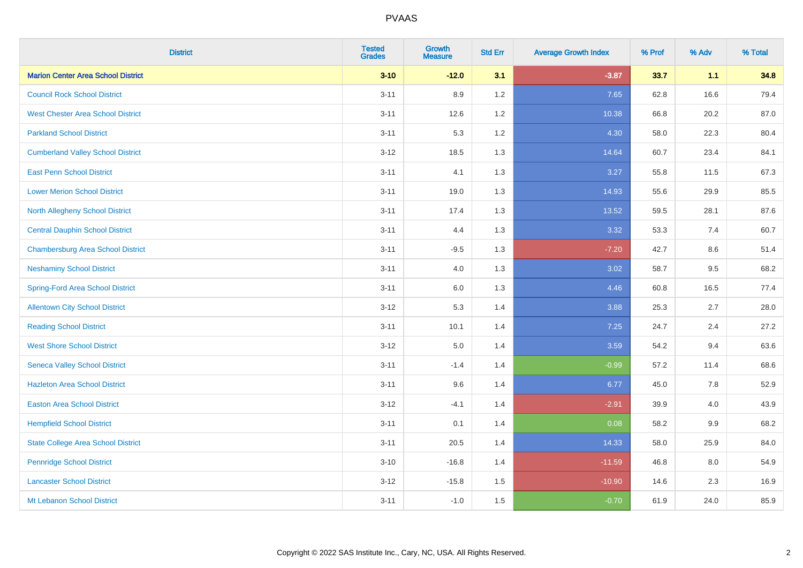| <b>District</b>                           | <b>Tested</b><br><b>Grades</b> | <b>Growth</b><br><b>Measure</b> | <b>Std Err</b> | <b>Average Growth Index</b> | % Prof | % Adv | % Total |
|-------------------------------------------|--------------------------------|---------------------------------|----------------|-----------------------------|--------|-------|---------|
| <b>Marion Center Area School District</b> | $3 - 10$                       | $-12.0$                         | 3.1            | $-3.87$                     | 33.7   | 1.1   | 34.8    |
| <b>Council Rock School District</b>       | $3 - 11$                       | 8.9                             | 1.2            | 7.65                        | 62.8   | 16.6  | 79.4    |
| <b>West Chester Area School District</b>  | $3 - 11$                       | 12.6                            | 1.2            | 10.38                       | 66.8   | 20.2  | 87.0    |
| <b>Parkland School District</b>           | $3 - 11$                       | 5.3                             | 1.2            | 4.30                        | 58.0   | 22.3  | 80.4    |
| <b>Cumberland Valley School District</b>  | $3 - 12$                       | 18.5                            | 1.3            | 14.64                       | 60.7   | 23.4  | 84.1    |
| <b>East Penn School District</b>          | $3 - 11$                       | 4.1                             | 1.3            | 3.27                        | 55.8   | 11.5  | 67.3    |
| <b>Lower Merion School District</b>       | $3 - 11$                       | 19.0                            | 1.3            | 14.93                       | 55.6   | 29.9  | 85.5    |
| <b>North Allegheny School District</b>    | $3 - 11$                       | 17.4                            | 1.3            | 13.52                       | 59.5   | 28.1  | 87.6    |
| <b>Central Dauphin School District</b>    | $3 - 11$                       | 4.4                             | 1.3            | 3.32                        | 53.3   | 7.4   | 60.7    |
| <b>Chambersburg Area School District</b>  | $3 - 11$                       | $-9.5$                          | 1.3            | $-7.20$                     | 42.7   | 8.6   | 51.4    |
| <b>Neshaminy School District</b>          | $3 - 11$                       | 4.0                             | 1.3            | 3.02                        | 58.7   | 9.5   | 68.2    |
| <b>Spring-Ford Area School District</b>   | $3 - 11$                       | $6.0\,$                         | 1.3            | 4.46                        | 60.8   | 16.5  | 77.4    |
| <b>Allentown City School District</b>     | $3 - 12$                       | 5.3                             | 1.4            | 3.88                        | 25.3   | 2.7   | 28.0    |
| <b>Reading School District</b>            | $3 - 11$                       | 10.1                            | 1.4            | 7.25                        | 24.7   | 2.4   | 27.2    |
| <b>West Shore School District</b>         | $3 - 12$                       | $5.0\,$                         | 1.4            | 3.59                        | 54.2   | 9.4   | 63.6    |
| <b>Seneca Valley School District</b>      | $3 - 11$                       | $-1.4$                          | 1.4            | $-0.99$                     | 57.2   | 11.4  | 68.6    |
| <b>Hazleton Area School District</b>      | $3 - 11$                       | 9.6                             | 1.4            | 6.77                        | 45.0   | 7.8   | 52.9    |
| <b>Easton Area School District</b>        | $3 - 12$                       | $-4.1$                          | 1.4            | $-2.91$                     | 39.9   | 4.0   | 43.9    |
| <b>Hempfield School District</b>          | $3 - 11$                       | 0.1                             | 1.4            | 0.08                        | 58.2   | 9.9   | 68.2    |
| <b>State College Area School District</b> | $3 - 11$                       | 20.5                            | 1.4            | 14.33                       | 58.0   | 25.9  | 84.0    |
| <b>Pennridge School District</b>          | $3 - 10$                       | $-16.8$                         | 1.4            | $-11.59$                    | 46.8   | 8.0   | 54.9    |
| <b>Lancaster School District</b>          | $3 - 12$                       | $-15.8$                         | 1.5            | $-10.90$                    | 14.6   | 2.3   | 16.9    |
| Mt Lebanon School District                | $3 - 11$                       | $-1.0$                          | 1.5            | $-0.70$                     | 61.9   | 24.0  | 85.9    |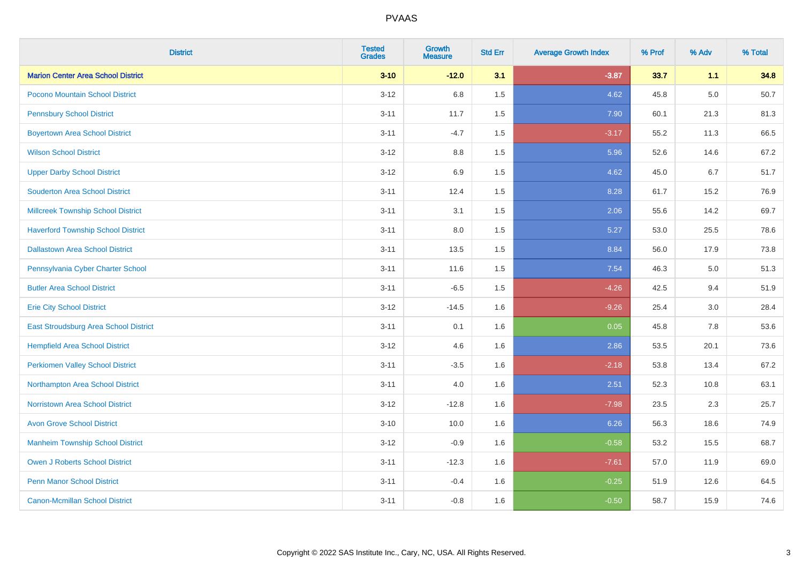| <b>District</b>                           | <b>Tested</b><br><b>Grades</b> | <b>Growth</b><br><b>Measure</b> | <b>Std Err</b> | <b>Average Growth Index</b> | % Prof | % Adv   | % Total |
|-------------------------------------------|--------------------------------|---------------------------------|----------------|-----------------------------|--------|---------|---------|
| <b>Marion Center Area School District</b> | $3 - 10$                       | $-12.0$                         | 3.1            | $-3.87$                     | 33.7   | 1.1     | 34.8    |
| Pocono Mountain School District           | $3 - 12$                       | 6.8                             | 1.5            | 4.62                        | 45.8   | $5.0\,$ | 50.7    |
| <b>Pennsbury School District</b>          | $3 - 11$                       | 11.7                            | 1.5            | 7.90                        | 60.1   | 21.3    | 81.3    |
| <b>Boyertown Area School District</b>     | $3 - 11$                       | $-4.7$                          | 1.5            | $-3.17$                     | 55.2   | 11.3    | 66.5    |
| <b>Wilson School District</b>             | $3 - 12$                       | 8.8                             | 1.5            | 5.96                        | 52.6   | 14.6    | 67.2    |
| <b>Upper Darby School District</b>        | $3 - 12$                       | 6.9                             | 1.5            | 4.62                        | 45.0   | 6.7     | 51.7    |
| <b>Souderton Area School District</b>     | $3 - 11$                       | 12.4                            | 1.5            | 8.28                        | 61.7   | 15.2    | 76.9    |
| <b>Millcreek Township School District</b> | $3 - 11$                       | 3.1                             | 1.5            | 2.06                        | 55.6   | 14.2    | 69.7    |
| <b>Haverford Township School District</b> | $3 - 11$                       | 8.0                             | 1.5            | 5.27                        | 53.0   | 25.5    | 78.6    |
| <b>Dallastown Area School District</b>    | $3 - 11$                       | 13.5                            | 1.5            | 8.84                        | 56.0   | 17.9    | 73.8    |
| Pennsylvania Cyber Charter School         | $3 - 11$                       | 11.6                            | 1.5            | 7.54                        | 46.3   | 5.0     | 51.3    |
| <b>Butler Area School District</b>        | $3 - 11$                       | $-6.5$                          | 1.5            | $-4.26$                     | 42.5   | 9.4     | 51.9    |
| <b>Erie City School District</b>          | $3 - 12$                       | $-14.5$                         | 1.6            | $-9.26$                     | 25.4   | 3.0     | 28.4    |
| East Stroudsburg Area School District     | $3 - 11$                       | 0.1                             | 1.6            | 0.05                        | 45.8   | 7.8     | 53.6    |
| <b>Hempfield Area School District</b>     | $3 - 12$                       | 4.6                             | 1.6            | 2.86                        | 53.5   | 20.1    | 73.6    |
| <b>Perkiomen Valley School District</b>   | $3 - 11$                       | $-3.5$                          | 1.6            | $-2.18$                     | 53.8   | 13.4    | 67.2    |
| Northampton Area School District          | $3 - 11$                       | 4.0                             | 1.6            | 2.51                        | 52.3   | 10.8    | 63.1    |
| <b>Norristown Area School District</b>    | $3 - 12$                       | $-12.8$                         | 1.6            | $-7.98$                     | 23.5   | 2.3     | 25.7    |
| <b>Avon Grove School District</b>         | $3 - 10$                       | 10.0                            | 1.6            | 6.26                        | 56.3   | 18.6    | 74.9    |
| <b>Manheim Township School District</b>   | $3 - 12$                       | $-0.9$                          | 1.6            | $-0.58$                     | 53.2   | 15.5    | 68.7    |
| Owen J Roberts School District            | $3 - 11$                       | $-12.3$                         | 1.6            | $-7.61$                     | 57.0   | 11.9    | 69.0    |
| <b>Penn Manor School District</b>         | $3 - 11$                       | $-0.4$                          | 1.6            | $-0.25$                     | 51.9   | 12.6    | 64.5    |
| <b>Canon-Mcmillan School District</b>     | $3 - 11$                       | $-0.8$                          | 1.6            | $-0.50$                     | 58.7   | 15.9    | 74.6    |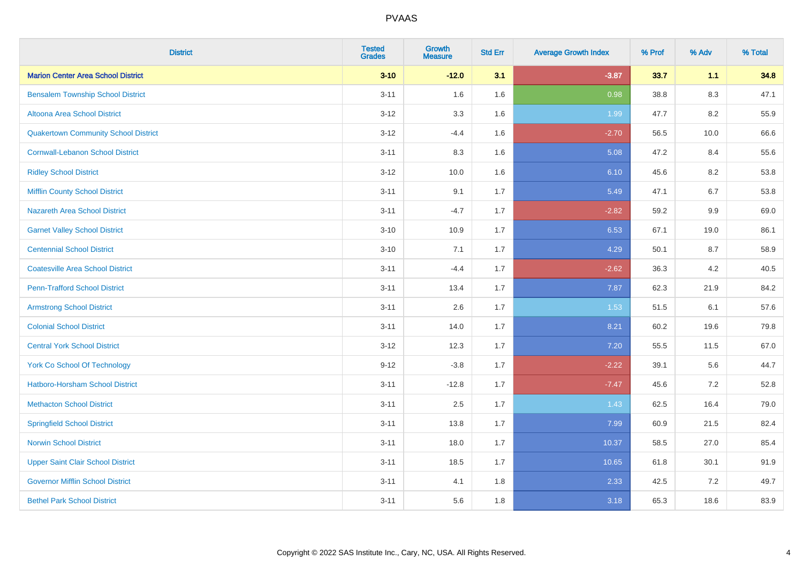| <b>District</b>                             | <b>Tested</b><br><b>Grades</b> | <b>Growth</b><br><b>Measure</b> | <b>Std Err</b> | <b>Average Growth Index</b> | % Prof | % Adv   | % Total |
|---------------------------------------------|--------------------------------|---------------------------------|----------------|-----------------------------|--------|---------|---------|
| <b>Marion Center Area School District</b>   | $3 - 10$                       | $-12.0$                         | 3.1            | $-3.87$                     | 33.7   | 1.1     | 34.8    |
| <b>Bensalem Township School District</b>    | $3 - 11$                       | 1.6                             | 1.6            | 0.98                        | 38.8   | $8.3\,$ | 47.1    |
| Altoona Area School District                | $3 - 12$                       | 3.3                             | 1.6            | 1.99                        | 47.7   | 8.2     | 55.9    |
| <b>Quakertown Community School District</b> | $3 - 12$                       | $-4.4$                          | 1.6            | $-2.70$                     | 56.5   | 10.0    | 66.6    |
| <b>Cornwall-Lebanon School District</b>     | $3 - 11$                       | 8.3                             | 1.6            | 5.08                        | 47.2   | 8.4     | 55.6    |
| <b>Ridley School District</b>               | $3 - 12$                       | 10.0                            | 1.6            | 6.10                        | 45.6   | 8.2     | 53.8    |
| <b>Mifflin County School District</b>       | $3 - 11$                       | 9.1                             | 1.7            | 5.49                        | 47.1   | 6.7     | 53.8    |
| <b>Nazareth Area School District</b>        | $3 - 11$                       | $-4.7$                          | 1.7            | $-2.82$                     | 59.2   | 9.9     | 69.0    |
| <b>Garnet Valley School District</b>        | $3 - 10$                       | 10.9                            | 1.7            | 6.53                        | 67.1   | 19.0    | 86.1    |
| <b>Centennial School District</b>           | $3 - 10$                       | 7.1                             | 1.7            | 4.29                        | 50.1   | 8.7     | 58.9    |
| <b>Coatesville Area School District</b>     | $3 - 11$                       | $-4.4$                          | 1.7            | $-2.62$                     | 36.3   | 4.2     | 40.5    |
| <b>Penn-Trafford School District</b>        | $3 - 11$                       | 13.4                            | 1.7            | 7.87                        | 62.3   | 21.9    | 84.2    |
| <b>Armstrong School District</b>            | $3 - 11$                       | 2.6                             | 1.7            | 1.53                        | 51.5   | 6.1     | 57.6    |
| <b>Colonial School District</b>             | $3 - 11$                       | 14.0                            | 1.7            | 8.21                        | 60.2   | 19.6    | 79.8    |
| <b>Central York School District</b>         | $3-12$                         | 12.3                            | 1.7            | 7.20                        | 55.5   | 11.5    | 67.0    |
| <b>York Co School Of Technology</b>         | $9 - 12$                       | $-3.8$                          | 1.7            | $-2.22$                     | 39.1   | 5.6     | 44.7    |
| Hatboro-Horsham School District             | $3 - 11$                       | $-12.8$                         | 1.7            | $-7.47$                     | 45.6   | 7.2     | 52.8    |
| <b>Methacton School District</b>            | $3 - 11$                       | 2.5                             | 1.7            | 1.43                        | 62.5   | 16.4    | 79.0    |
| <b>Springfield School District</b>          | $3 - 11$                       | 13.8                            | 1.7            | 7.99                        | 60.9   | 21.5    | 82.4    |
| <b>Norwin School District</b>               | $3 - 11$                       | 18.0                            | 1.7            | 10.37                       | 58.5   | 27.0    | 85.4    |
| <b>Upper Saint Clair School District</b>    | $3 - 11$                       | 18.5                            | 1.7            | 10.65                       | 61.8   | 30.1    | 91.9    |
| <b>Governor Mifflin School District</b>     | $3 - 11$                       | 4.1                             | 1.8            | 2.33                        | 42.5   | 7.2     | 49.7    |
| <b>Bethel Park School District</b>          | $3 - 11$                       | 5.6                             | 1.8            | 3.18                        | 65.3   | 18.6    | 83.9    |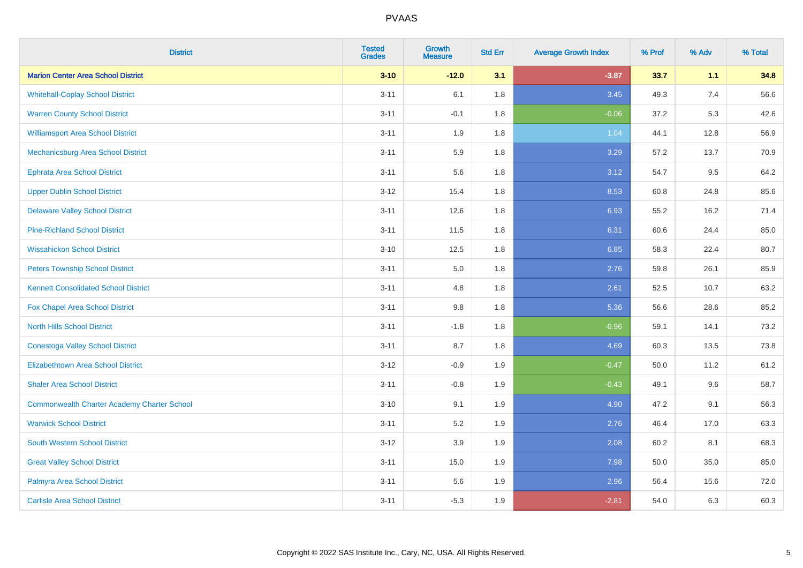| <b>District</b>                                    | <b>Tested</b><br><b>Grades</b> | <b>Growth</b><br><b>Measure</b> | <b>Std Err</b> | <b>Average Growth Index</b> | % Prof | % Adv | % Total |
|----------------------------------------------------|--------------------------------|---------------------------------|----------------|-----------------------------|--------|-------|---------|
| <b>Marion Center Area School District</b>          | $3 - 10$                       | $-12.0$                         | 3.1            | $-3.87$                     | 33.7   | 1.1   | 34.8    |
| <b>Whitehall-Coplay School District</b>            | $3 - 11$                       | 6.1                             | 1.8            | 3.45                        | 49.3   | 7.4   | 56.6    |
| <b>Warren County School District</b>               | $3 - 11$                       | $-0.1$                          | 1.8            | $-0.06$                     | 37.2   | 5.3   | 42.6    |
| <b>Williamsport Area School District</b>           | $3 - 11$                       | 1.9                             | 1.8            | 1.04                        | 44.1   | 12.8  | 56.9    |
| Mechanicsburg Area School District                 | $3 - 11$                       | 5.9                             | 1.8            | 3.29                        | 57.2   | 13.7  | 70.9    |
| <b>Ephrata Area School District</b>                | $3 - 11$                       | 5.6                             | 1.8            | 3.12                        | 54.7   | 9.5   | 64.2    |
| <b>Upper Dublin School District</b>                | $3-12$                         | 15.4                            | 1.8            | 8.53                        | 60.8   | 24.8  | 85.6    |
| <b>Delaware Valley School District</b>             | $3 - 11$                       | 12.6                            | 1.8            | 6.93                        | 55.2   | 16.2  | 71.4    |
| <b>Pine-Richland School District</b>               | $3 - 11$                       | 11.5                            | 1.8            | 6.31                        | 60.6   | 24.4  | 85.0    |
| <b>Wissahickon School District</b>                 | $3 - 10$                       | 12.5                            | 1.8            | 6.85                        | 58.3   | 22.4  | 80.7    |
| <b>Peters Township School District</b>             | $3 - 11$                       | 5.0                             | 1.8            | 2.76                        | 59.8   | 26.1  | 85.9    |
| <b>Kennett Consolidated School District</b>        | $3 - 11$                       | 4.8                             | 1.8            | 2.61                        | 52.5   | 10.7  | 63.2    |
| Fox Chapel Area School District                    | $3 - 11$                       | $9.8\,$                         | 1.8            | 5.36                        | 56.6   | 28.6  | 85.2    |
| <b>North Hills School District</b>                 | $3 - 11$                       | $-1.8$                          | 1.8            | $-0.96$                     | 59.1   | 14.1  | 73.2    |
| <b>Conestoga Valley School District</b>            | $3 - 11$                       | 8.7                             | 1.8            | 4.69                        | 60.3   | 13.5  | 73.8    |
| <b>Elizabethtown Area School District</b>          | $3-12$                         | $-0.9$                          | 1.9            | $-0.47$                     | 50.0   | 11.2  | 61.2    |
| <b>Shaler Area School District</b>                 | $3 - 11$                       | $-0.8$                          | 1.9            | $-0.43$                     | 49.1   | 9.6   | 58.7    |
| <b>Commonwealth Charter Academy Charter School</b> | $3 - 10$                       | 9.1                             | 1.9            | 4.90                        | 47.2   | 9.1   | 56.3    |
| <b>Warwick School District</b>                     | $3 - 11$                       | 5.2                             | 1.9            | 2.76                        | 46.4   | 17.0  | 63.3    |
| <b>South Western School District</b>               | $3-12$                         | 3.9                             | 1.9            | 2.08                        | 60.2   | 8.1   | 68.3    |
| <b>Great Valley School District</b>                | $3 - 11$                       | 15.0                            | 1.9            | 7.98                        | 50.0   | 35.0  | 85.0    |
| Palmyra Area School District                       | $3 - 11$                       | 5.6                             | 1.9            | 2.96                        | 56.4   | 15.6  | 72.0    |
| <b>Carlisle Area School District</b>               | $3 - 11$                       | $-5.3$                          | 1.9            | $-2.81$                     | 54.0   | 6.3   | 60.3    |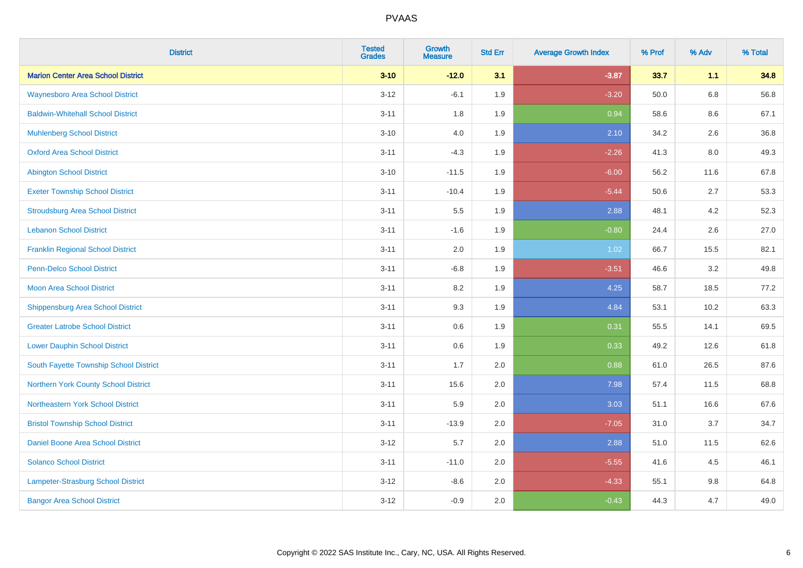| <b>District</b>                           | <b>Tested</b><br><b>Grades</b> | <b>Growth</b><br><b>Measure</b> | <b>Std Err</b> | <b>Average Growth Index</b> | % Prof | % Adv   | % Total |
|-------------------------------------------|--------------------------------|---------------------------------|----------------|-----------------------------|--------|---------|---------|
| <b>Marion Center Area School District</b> | $3 - 10$                       | $-12.0$                         | 3.1            | $-3.87$                     | 33.7   | 1.1     | 34.8    |
| <b>Waynesboro Area School District</b>    | $3 - 12$                       | $-6.1$                          | 1.9            | $-3.20$                     | 50.0   | $6.8\,$ | 56.8    |
| <b>Baldwin-Whitehall School District</b>  | $3 - 11$                       | 1.8                             | 1.9            | 0.94                        | 58.6   | $8.6\,$ | 67.1    |
| <b>Muhlenberg School District</b>         | $3 - 10$                       | 4.0                             | 1.9            | 2.10                        | 34.2   | 2.6     | 36.8    |
| <b>Oxford Area School District</b>        | $3 - 11$                       | $-4.3$                          | 1.9            | $-2.26$                     | 41.3   | 8.0     | 49.3    |
| <b>Abington School District</b>           | $3 - 10$                       | $-11.5$                         | 1.9            | $-6.00$                     | 56.2   | 11.6    | 67.8    |
| <b>Exeter Township School District</b>    | $3 - 11$                       | $-10.4$                         | 1.9            | $-5.44$                     | 50.6   | 2.7     | 53.3    |
| <b>Stroudsburg Area School District</b>   | $3 - 11$                       | $5.5\,$                         | 1.9            | 2.88                        | 48.1   | 4.2     | 52.3    |
| <b>Lebanon School District</b>            | $3 - 11$                       | $-1.6$                          | 1.9            | $-0.80$                     | 24.4   | 2.6     | 27.0    |
| <b>Franklin Regional School District</b>  | $3 - 11$                       | 2.0                             | 1.9            | 1.02                        | 66.7   | 15.5    | 82.1    |
| <b>Penn-Delco School District</b>         | $3 - 11$                       | $-6.8$                          | 1.9            | $-3.51$                     | 46.6   | 3.2     | 49.8    |
| <b>Moon Area School District</b>          | $3 - 11$                       | 8.2                             | 1.9            | 4.25                        | 58.7   | 18.5    | 77.2    |
| <b>Shippensburg Area School District</b>  | $3 - 11$                       | 9.3                             | 1.9            | 4.84                        | 53.1   | 10.2    | 63.3    |
| <b>Greater Latrobe School District</b>    | $3 - 11$                       | 0.6                             | 1.9            | 0.31                        | 55.5   | 14.1    | 69.5    |
| <b>Lower Dauphin School District</b>      | $3 - 11$                       | 0.6                             | 1.9            | 0.33                        | 49.2   | 12.6    | 61.8    |
| South Fayette Township School District    | $3 - 11$                       | 1.7                             | 2.0            | 0.88                        | 61.0   | 26.5    | 87.6    |
| Northern York County School District      | $3 - 11$                       | 15.6                            | 2.0            | 7.98                        | 57.4   | 11.5    | 68.8    |
| Northeastern York School District         | $3 - 11$                       | 5.9                             | 2.0            | 3.03                        | 51.1   | 16.6    | 67.6    |
| <b>Bristol Township School District</b>   | $3 - 11$                       | $-13.9$                         | 2.0            | $-7.05$                     | 31.0   | 3.7     | 34.7    |
| <b>Daniel Boone Area School District</b>  | $3 - 12$                       | 5.7                             | 2.0            | 2.88                        | 51.0   | 11.5    | 62.6    |
| <b>Solanco School District</b>            | $3 - 11$                       | $-11.0$                         | 2.0            | $-5.55$                     | 41.6   | 4.5     | 46.1    |
| Lampeter-Strasburg School District        | $3-12$                         | $-8.6$                          | 2.0            | $-4.33$                     | 55.1   | 9.8     | 64.8    |
| <b>Bangor Area School District</b>        | $3 - 12$                       | $-0.9$                          | 2.0            | $-0.43$                     | 44.3   | 4.7     | 49.0    |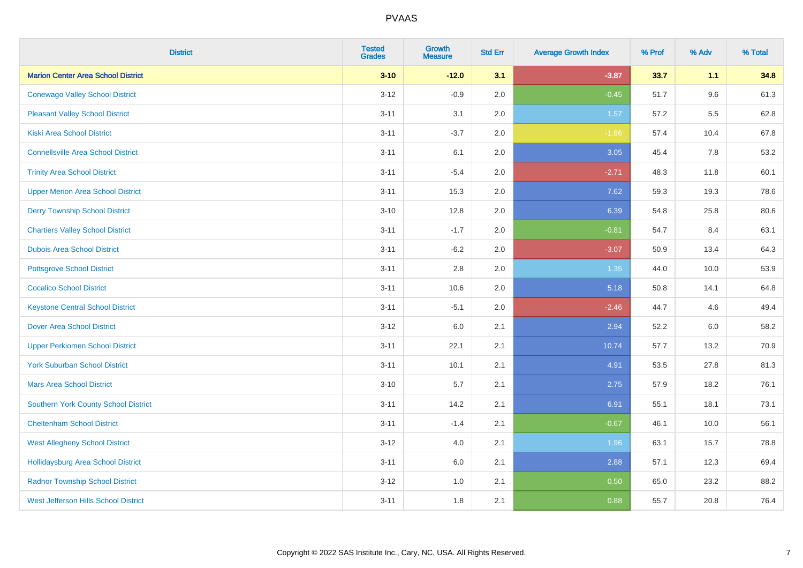| <b>District</b>                             | <b>Tested</b><br><b>Grades</b> | <b>Growth</b><br><b>Measure</b> | <b>Std Err</b> | <b>Average Growth Index</b> | % Prof | % Adv | % Total |
|---------------------------------------------|--------------------------------|---------------------------------|----------------|-----------------------------|--------|-------|---------|
| <b>Marion Center Area School District</b>   | $3 - 10$                       | $-12.0$                         | 3.1            | $-3.87$                     | 33.7   | 1.1   | 34.8    |
| <b>Conewago Valley School District</b>      | $3 - 12$                       | $-0.9$                          | 2.0            | $-0.45$                     | 51.7   | 9.6   | 61.3    |
| <b>Pleasant Valley School District</b>      | $3 - 11$                       | 3.1                             | 2.0            | 1.57                        | 57.2   | 5.5   | 62.8    |
| <b>Kiski Area School District</b>           | $3 - 11$                       | $-3.7$                          | 2.0            | $-1.86$                     | 57.4   | 10.4  | 67.8    |
| <b>Connellsville Area School District</b>   | $3 - 11$                       | 6.1                             | 2.0            | 3.05                        | 45.4   | 7.8   | 53.2    |
| <b>Trinity Area School District</b>         | $3 - 11$                       | $-5.4$                          | 2.0            | $-2.71$                     | 48.3   | 11.8  | 60.1    |
| <b>Upper Merion Area School District</b>    | $3 - 11$                       | 15.3                            | 2.0            | 7.62                        | 59.3   | 19.3  | 78.6    |
| <b>Derry Township School District</b>       | $3 - 10$                       | 12.8                            | 2.0            | 6.39                        | 54.8   | 25.8  | 80.6    |
| <b>Chartiers Valley School District</b>     | $3 - 11$                       | $-1.7$                          | 2.0            | $-0.81$                     | 54.7   | 8.4   | 63.1    |
| <b>Dubois Area School District</b>          | $3 - 11$                       | $-6.2$                          | 2.0            | $-3.07$                     | 50.9   | 13.4  | 64.3    |
| <b>Pottsgrove School District</b>           | $3 - 11$                       | 2.8                             | 2.0            | 1.35                        | 44.0   | 10.0  | 53.9    |
| <b>Cocalico School District</b>             | $3 - 11$                       | 10.6                            | 2.0            | 5.18                        | 50.8   | 14.1  | 64.8    |
| <b>Keystone Central School District</b>     | $3 - 11$                       | $-5.1$                          | 2.0            | $-2.46$                     | 44.7   | 4.6   | 49.4    |
| <b>Dover Area School District</b>           | $3 - 12$                       | 6.0                             | 2.1            | 2.94                        | 52.2   | 6.0   | 58.2    |
| <b>Upper Perkiomen School District</b>      | $3 - 11$                       | 22.1                            | 2.1            | 10.74                       | 57.7   | 13.2  | 70.9    |
| <b>York Suburban School District</b>        | $3 - 11$                       | 10.1                            | 2.1            | 4.91                        | 53.5   | 27.8  | 81.3    |
| <b>Mars Area School District</b>            | $3 - 10$                       | 5.7                             | 2.1            | 2.75                        | 57.9   | 18.2  | 76.1    |
| Southern York County School District        | $3 - 11$                       | 14.2                            | 2.1            | 6.91                        | 55.1   | 18.1  | 73.1    |
| <b>Cheltenham School District</b>           | $3 - 11$                       | $-1.4$                          | 2.1            | $-0.67$                     | 46.1   | 10.0  | 56.1    |
| <b>West Allegheny School District</b>       | $3 - 12$                       | 4.0                             | 2.1            | 1.96                        | 63.1   | 15.7  | 78.8    |
| <b>Hollidaysburg Area School District</b>   | $3 - 11$                       | 6.0                             | 2.1            | 2.88                        | 57.1   | 12.3  | 69.4    |
| <b>Radnor Township School District</b>      | $3 - 12$                       | 1.0                             | 2.1            | 0.50                        | 65.0   | 23.2  | 88.2    |
| <b>West Jefferson Hills School District</b> | $3 - 11$                       | 1.8                             | 2.1            | 0.88                        | 55.7   | 20.8  | 76.4    |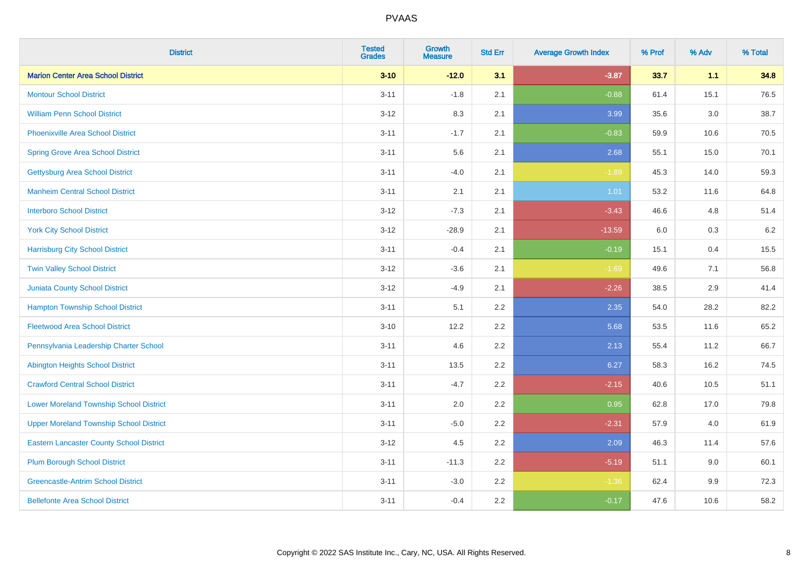| <b>District</b>                                 | <b>Tested</b><br><b>Grades</b> | <b>Growth</b><br><b>Measure</b> | <b>Std Err</b> | <b>Average Growth Index</b> | % Prof | % Adv | % Total |
|-------------------------------------------------|--------------------------------|---------------------------------|----------------|-----------------------------|--------|-------|---------|
| <b>Marion Center Area School District</b>       | $3 - 10$                       | $-12.0$                         | 3.1            | $-3.87$                     | 33.7   | 1.1   | 34.8    |
| <b>Montour School District</b>                  | $3 - 11$                       | $-1.8$                          | 2.1            | $-0.88$                     | 61.4   | 15.1  | 76.5    |
| <b>William Penn School District</b>             | $3 - 12$                       | 8.3                             | 2.1            | 3.99                        | 35.6   | 3.0   | 38.7    |
| <b>Phoenixville Area School District</b>        | $3 - 11$                       | $-1.7$                          | 2.1            | $-0.83$                     | 59.9   | 10.6  | 70.5    |
| <b>Spring Grove Area School District</b>        | $3 - 11$                       | 5.6                             | 2.1            | 2.68                        | 55.1   | 15.0  | 70.1    |
| <b>Gettysburg Area School District</b>          | $3 - 11$                       | $-4.0$                          | 2.1            | $-1.89$                     | 45.3   | 14.0  | 59.3    |
| <b>Manheim Central School District</b>          | $3 - 11$                       | 2.1                             | 2.1            | 1.01                        | 53.2   | 11.6  | 64.8    |
| <b>Interboro School District</b>                | $3 - 12$                       | $-7.3$                          | 2.1            | $-3.43$                     | 46.6   | 4.8   | 51.4    |
| <b>York City School District</b>                | $3 - 12$                       | $-28.9$                         | 2.1            | $-13.59$                    | 6.0    | 0.3   | 6.2     |
| <b>Harrisburg City School District</b>          | $3 - 11$                       | $-0.4$                          | 2.1            | $-0.19$                     | 15.1   | 0.4   | 15.5    |
| <b>Twin Valley School District</b>              | $3 - 12$                       | $-3.6$                          | 2.1            | $-1.69$                     | 49.6   | 7.1   | 56.8    |
| <b>Juniata County School District</b>           | $3 - 12$                       | $-4.9$                          | 2.1            | $-2.26$                     | 38.5   | 2.9   | 41.4    |
| <b>Hampton Township School District</b>         | $3 - 11$                       | 5.1                             | 2.2            | 2.35                        | 54.0   | 28.2  | 82.2    |
| <b>Fleetwood Area School District</b>           | $3 - 10$                       | 12.2                            | 2.2            | 5.68                        | 53.5   | 11.6  | 65.2    |
| Pennsylvania Leadership Charter School          | $3 - 11$                       | 4.6                             | 2.2            | 2.13                        | 55.4   | 11.2  | 66.7    |
| <b>Abington Heights School District</b>         | $3 - 11$                       | 13.5                            | 2.2            | 6.27                        | 58.3   | 16.2  | 74.5    |
| <b>Crawford Central School District</b>         | $3 - 11$                       | $-4.7$                          | 2.2            | $-2.15$                     | 40.6   | 10.5  | 51.1    |
| <b>Lower Moreland Township School District</b>  | $3 - 11$                       | 2.0                             | 2.2            | 0.95                        | 62.8   | 17.0  | 79.8    |
| <b>Upper Moreland Township School District</b>  | $3 - 11$                       | $-5.0$                          | 2.2            | $-2.31$                     | 57.9   | 4.0   | 61.9    |
| <b>Eastern Lancaster County School District</b> | $3 - 12$                       | 4.5                             | 2.2            | 2.09                        | 46.3   | 11.4  | 57.6    |
| <b>Plum Borough School District</b>             | $3 - 11$                       | $-11.3$                         | 2.2            | $-5.19$                     | 51.1   | 9.0   | 60.1    |
| <b>Greencastle-Antrim School District</b>       | $3 - 11$                       | $-3.0$                          | 2.2            | $-1.36$                     | 62.4   | 9.9   | 72.3    |
| <b>Bellefonte Area School District</b>          | $3 - 11$                       | $-0.4$                          | 2.2            | $-0.17$                     | 47.6   | 10.6  | 58.2    |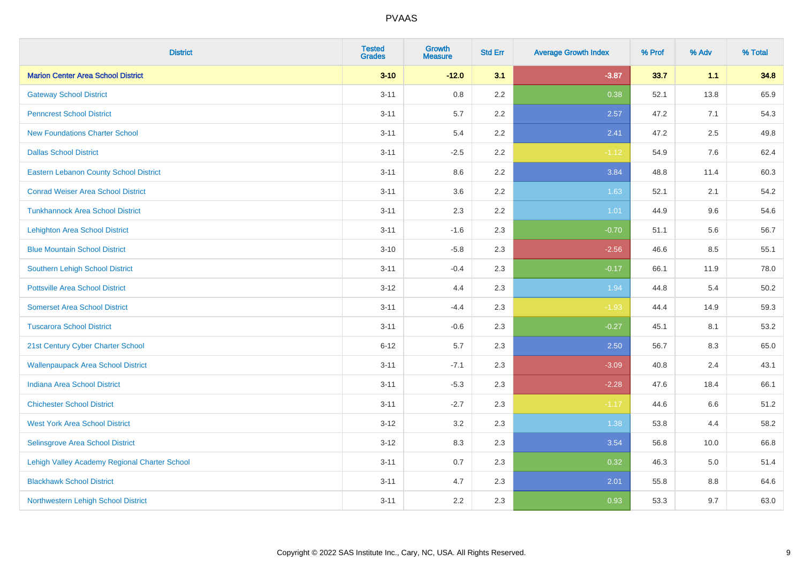| <b>District</b>                               | <b>Tested</b><br><b>Grades</b> | <b>Growth</b><br><b>Measure</b> | <b>Std Err</b> | <b>Average Growth Index</b> | % Prof | % Adv | % Total |
|-----------------------------------------------|--------------------------------|---------------------------------|----------------|-----------------------------|--------|-------|---------|
| <b>Marion Center Area School District</b>     | $3 - 10$                       | $-12.0$                         | 3.1            | $-3.87$                     | 33.7   | 1.1   | 34.8    |
| <b>Gateway School District</b>                | $3 - 11$                       | 0.8                             | 2.2            | 0.38                        | 52.1   | 13.8  | 65.9    |
| <b>Penncrest School District</b>              | $3 - 11$                       | 5.7                             | 2.2            | 2.57                        | 47.2   | 7.1   | 54.3    |
| <b>New Foundations Charter School</b>         | $3 - 11$                       | 5.4                             | 2.2            | 2.41                        | 47.2   | 2.5   | 49.8    |
| <b>Dallas School District</b>                 | $3 - 11$                       | $-2.5$                          | 2.2            | $-1.12$                     | 54.9   | 7.6   | 62.4    |
| <b>Eastern Lebanon County School District</b> | $3 - 11$                       | 8.6                             | 2.2            | 3.84                        | 48.8   | 11.4  | 60.3    |
| <b>Conrad Weiser Area School District</b>     | $3 - 11$                       | 3.6                             | 2.2            | 1.63                        | 52.1   | 2.1   | 54.2    |
| <b>Tunkhannock Area School District</b>       | $3 - 11$                       | 2.3                             | 2.2            | 1.01                        | 44.9   | 9.6   | 54.6    |
| <b>Lehighton Area School District</b>         | $3 - 11$                       | $-1.6$                          | 2.3            | $-0.70$                     | 51.1   | 5.6   | 56.7    |
| <b>Blue Mountain School District</b>          | $3 - 10$                       | $-5.8$                          | 2.3            | $-2.56$                     | 46.6   | 8.5   | 55.1    |
| Southern Lehigh School District               | $3 - 11$                       | $-0.4$                          | 2.3            | $-0.17$                     | 66.1   | 11.9  | 78.0    |
| <b>Pottsville Area School District</b>        | $3 - 12$                       | 4.4                             | 2.3            | 1.94                        | 44.8   | 5.4   | 50.2    |
| <b>Somerset Area School District</b>          | $3 - 11$                       | $-4.4$                          | 2.3            | $-1.93$                     | 44.4   | 14.9  | 59.3    |
| <b>Tuscarora School District</b>              | $3 - 11$                       | $-0.6$                          | 2.3            | $-0.27$                     | 45.1   | 8.1   | 53.2    |
| 21st Century Cyber Charter School             | $6 - 12$                       | 5.7                             | 2.3            | 2.50                        | 56.7   | 8.3   | 65.0    |
| <b>Wallenpaupack Area School District</b>     | $3 - 11$                       | $-7.1$                          | 2.3            | $-3.09$                     | 40.8   | 2.4   | 43.1    |
| <b>Indiana Area School District</b>           | $3 - 11$                       | $-5.3$                          | 2.3            | $-2.28$                     | 47.6   | 18.4  | 66.1    |
| <b>Chichester School District</b>             | $3 - 11$                       | $-2.7$                          | 2.3            | $-1.17$                     | 44.6   | 6.6   | 51.2    |
| <b>West York Area School District</b>         | $3 - 12$                       | 3.2                             | 2.3            | 1.38                        | 53.8   | 4.4   | 58.2    |
| Selinsgrove Area School District              | $3 - 12$                       | 8.3                             | 2.3            | 3.54                        | 56.8   | 10.0  | 66.8    |
| Lehigh Valley Academy Regional Charter School | $3 - 11$                       | 0.7                             | 2.3            | 0.32                        | 46.3   | 5.0   | 51.4    |
| <b>Blackhawk School District</b>              | $3 - 11$                       | 4.7                             | 2.3            | 2.01                        | 55.8   | 8.8   | 64.6    |
| Northwestern Lehigh School District           | $3 - 11$                       | 2.2                             | 2.3            | 0.93                        | 53.3   | 9.7   | 63.0    |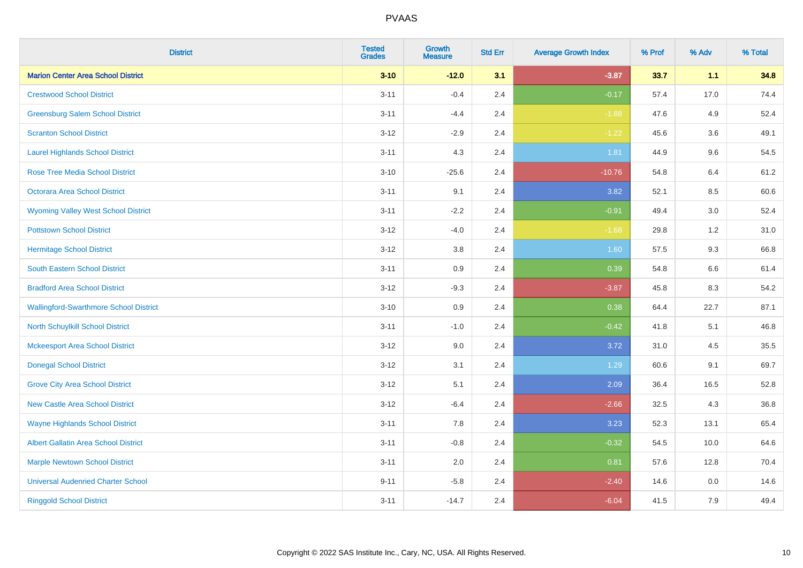| <b>District</b>                               | <b>Tested</b><br><b>Grades</b> | <b>Growth</b><br><b>Measure</b> | <b>Std Err</b> | <b>Average Growth Index</b> | % Prof | % Adv | % Total |
|-----------------------------------------------|--------------------------------|---------------------------------|----------------|-----------------------------|--------|-------|---------|
| <b>Marion Center Area School District</b>     | $3 - 10$                       | $-12.0$                         | 3.1            | $-3.87$                     | 33.7   | 1.1   | 34.8    |
| <b>Crestwood School District</b>              | $3 - 11$                       | $-0.4$                          | 2.4            | $-0.17$                     | 57.4   | 17.0  | 74.4    |
| <b>Greensburg Salem School District</b>       | $3 - 11$                       | $-4.4$                          | 2.4            | $-1.88$                     | 47.6   | 4.9   | 52.4    |
| <b>Scranton School District</b>               | $3 - 12$                       | $-2.9$                          | 2.4            | $-1.22$                     | 45.6   | 3.6   | 49.1    |
| <b>Laurel Highlands School District</b>       | $3 - 11$                       | 4.3                             | 2.4            | 1.81                        | 44.9   | 9.6   | 54.5    |
| <b>Rose Tree Media School District</b>        | $3 - 10$                       | $-25.6$                         | 2.4            | $-10.76$                    | 54.8   | 6.4   | 61.2    |
| Octorara Area School District                 | $3 - 11$                       | 9.1                             | 2.4            | 3.82                        | 52.1   | 8.5   | 60.6    |
| <b>Wyoming Valley West School District</b>    | $3 - 11$                       | $-2.2$                          | 2.4            | $-0.91$                     | 49.4   | 3.0   | 52.4    |
| <b>Pottstown School District</b>              | $3 - 12$                       | $-4.0$                          | 2.4            | $-1.68$                     | 29.8   | 1.2   | 31.0    |
| <b>Hermitage School District</b>              | $3 - 12$                       | 3.8                             | 2.4            | 1.60                        | 57.5   | 9.3   | 66.8    |
| <b>South Eastern School District</b>          | $3 - 11$                       | 0.9                             | 2.4            | 0.39                        | 54.8   | 6.6   | 61.4    |
| <b>Bradford Area School District</b>          | $3 - 12$                       | $-9.3$                          | 2.4            | $-3.87$                     | 45.8   | 8.3   | 54.2    |
| <b>Wallingford-Swarthmore School District</b> | $3 - 10$                       | 0.9                             | 2.4            | 0.38                        | 64.4   | 22.7  | 87.1    |
| North Schuylkill School District              | $3 - 11$                       | $-1.0$                          | 2.4            | $-0.42$                     | 41.8   | 5.1   | 46.8    |
| <b>Mckeesport Area School District</b>        | $3 - 12$                       | 9.0                             | 2.4            | 3.72                        | 31.0   | 4.5   | 35.5    |
| <b>Donegal School District</b>                | $3 - 12$                       | 3.1                             | 2.4            | 1.29                        | 60.6   | 9.1   | 69.7    |
| <b>Grove City Area School District</b>        | $3 - 12$                       | 5.1                             | 2.4            | 2.09                        | 36.4   | 16.5  | 52.8    |
| <b>New Castle Area School District</b>        | $3 - 12$                       | $-6.4$                          | 2.4            | $-2.66$                     | 32.5   | 4.3   | 36.8    |
| <b>Wayne Highlands School District</b>        | $3 - 11$                       | 7.8                             | 2.4            | 3.23                        | 52.3   | 13.1  | 65.4    |
| <b>Albert Gallatin Area School District</b>   | $3 - 11$                       | $-0.8$                          | 2.4            | $-0.32$                     | 54.5   | 10.0  | 64.6    |
| <b>Marple Newtown School District</b>         | $3 - 11$                       | 2.0                             | 2.4            | 0.81                        | 57.6   | 12.8  | 70.4    |
| <b>Universal Audenried Charter School</b>     | $9 - 11$                       | $-5.8$                          | 2.4            | $-2.40$                     | 14.6   | 0.0   | 14.6    |
| <b>Ringgold School District</b>               | $3 - 11$                       | $-14.7$                         | 2.4            | $-6.04$                     | 41.5   | 7.9   | 49.4    |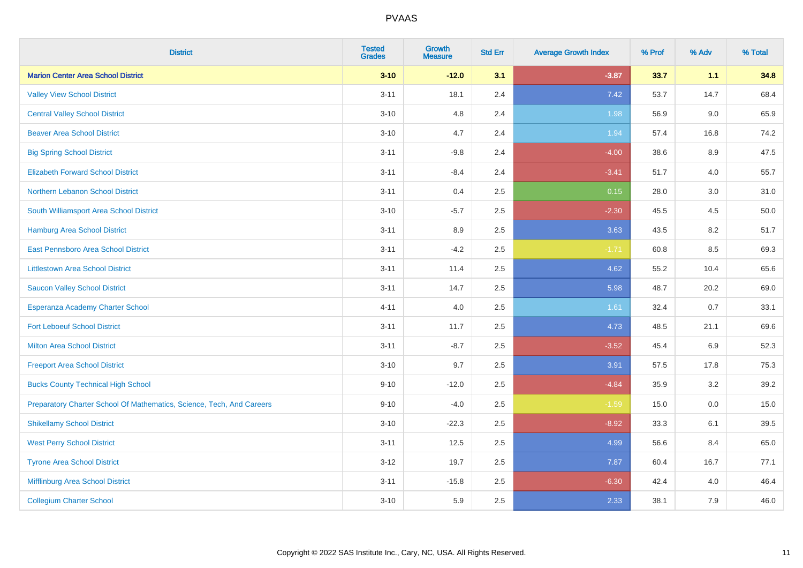| <b>District</b>                                                       | <b>Tested</b><br><b>Grades</b> | <b>Growth</b><br><b>Measure</b> | <b>Std Err</b> | <b>Average Growth Index</b> | % Prof | % Adv   | % Total |
|-----------------------------------------------------------------------|--------------------------------|---------------------------------|----------------|-----------------------------|--------|---------|---------|
| <b>Marion Center Area School District</b>                             | $3 - 10$                       | $-12.0$                         | 3.1            | $-3.87$                     | 33.7   | 1.1     | 34.8    |
| <b>Valley View School District</b>                                    | $3 - 11$                       | 18.1                            | 2.4            | 7.42                        | 53.7   | 14.7    | 68.4    |
| <b>Central Valley School District</b>                                 | $3 - 10$                       | 4.8                             | 2.4            | 1.98                        | 56.9   | 9.0     | 65.9    |
| <b>Beaver Area School District</b>                                    | $3 - 10$                       | 4.7                             | 2.4            | 1.94                        | 57.4   | 16.8    | 74.2    |
| <b>Big Spring School District</b>                                     | $3 - 11$                       | $-9.8$                          | 2.4            | $-4.00$                     | 38.6   | 8.9     | 47.5    |
| <b>Elizabeth Forward School District</b>                              | $3 - 11$                       | $-8.4$                          | 2.4            | $-3.41$                     | 51.7   | 4.0     | 55.7    |
| Northern Lebanon School District                                      | $3 - 11$                       | 0.4                             | 2.5            | 0.15                        | 28.0   | 3.0     | 31.0    |
| South Williamsport Area School District                               | $3 - 10$                       | $-5.7$                          | 2.5            | $-2.30$                     | 45.5   | 4.5     | 50.0    |
| Hamburg Area School District                                          | $3 - 11$                       | 8.9                             | 2.5            | 3.63                        | 43.5   | 8.2     | 51.7    |
| East Pennsboro Area School District                                   | $3 - 11$                       | $-4.2$                          | 2.5            | $-1.71$                     | 60.8   | 8.5     | 69.3    |
| <b>Littlestown Area School District</b>                               | $3 - 11$                       | 11.4                            | 2.5            | 4.62                        | 55.2   | 10.4    | 65.6    |
| <b>Saucon Valley School District</b>                                  | $3 - 11$                       | 14.7                            | 2.5            | 5.98                        | 48.7   | 20.2    | 69.0    |
| Esperanza Academy Charter School                                      | $4 - 11$                       | $4.0\,$                         | 2.5            | 1.61                        | 32.4   | 0.7     | 33.1    |
| <b>Fort Leboeuf School District</b>                                   | $3 - 11$                       | 11.7                            | 2.5            | 4.73                        | 48.5   | 21.1    | 69.6    |
| <b>Milton Area School District</b>                                    | $3 - 11$                       | $-8.7$                          | 2.5            | $-3.52$                     | 45.4   | 6.9     | 52.3    |
| <b>Freeport Area School District</b>                                  | $3 - 10$                       | 9.7                             | 2.5            | 3.91                        | 57.5   | 17.8    | 75.3    |
| <b>Bucks County Technical High School</b>                             | $9 - 10$                       | $-12.0$                         | 2.5            | $-4.84$                     | 35.9   | $3.2\,$ | 39.2    |
| Preparatory Charter School Of Mathematics, Science, Tech, And Careers | $9 - 10$                       | $-4.0$                          | 2.5            | $-1.59$                     | 15.0   | 0.0     | 15.0    |
| <b>Shikellamy School District</b>                                     | $3 - 10$                       | $-22.3$                         | 2.5            | $-8.92$                     | 33.3   | 6.1     | 39.5    |
| <b>West Perry School District</b>                                     | $3 - 11$                       | 12.5                            | 2.5            | 4.99                        | 56.6   | 8.4     | 65.0    |
| <b>Tyrone Area School District</b>                                    | $3 - 12$                       | 19.7                            | 2.5            | 7.87                        | 60.4   | 16.7    | 77.1    |
| Mifflinburg Area School District                                      | $3 - 11$                       | $-15.8$                         | 2.5            | $-6.30$                     | 42.4   | 4.0     | 46.4    |
| <b>Collegium Charter School</b>                                       | $3 - 10$                       | 5.9                             | 2.5            | 2.33                        | 38.1   | 7.9     | 46.0    |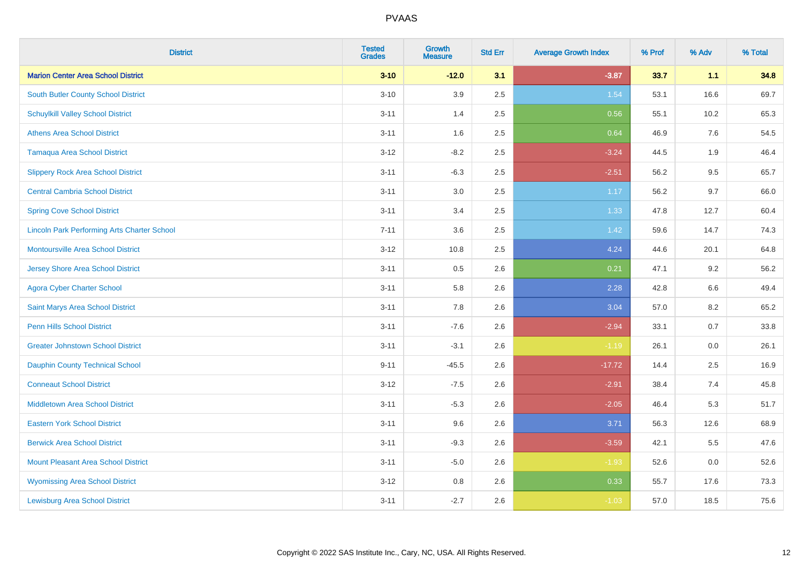| <b>District</b>                                    | <b>Tested</b><br><b>Grades</b> | <b>Growth</b><br><b>Measure</b> | <b>Std Err</b> | <b>Average Growth Index</b> | % Prof | % Adv   | % Total |
|----------------------------------------------------|--------------------------------|---------------------------------|----------------|-----------------------------|--------|---------|---------|
| <b>Marion Center Area School District</b>          | $3 - 10$                       | $-12.0$                         | 3.1            | $-3.87$                     | 33.7   | 1.1     | 34.8    |
| South Butler County School District                | $3 - 10$                       | 3.9                             | 2.5            | 1.54                        | 53.1   | 16.6    | 69.7    |
| <b>Schuylkill Valley School District</b>           | $3 - 11$                       | 1.4                             | 2.5            | 0.56                        | 55.1   | 10.2    | 65.3    |
| <b>Athens Area School District</b>                 | $3 - 11$                       | 1.6                             | 2.5            | 0.64                        | 46.9   | 7.6     | 54.5    |
| <b>Tamaqua Area School District</b>                | $3 - 12$                       | $-8.2$                          | 2.5            | $-3.24$                     | 44.5   | 1.9     | 46.4    |
| <b>Slippery Rock Area School District</b>          | $3 - 11$                       | $-6.3$                          | 2.5            | $-2.51$                     | 56.2   | 9.5     | 65.7    |
| <b>Central Cambria School District</b>             | $3 - 11$                       | 3.0                             | 2.5            | 1.17                        | 56.2   | 9.7     | 66.0    |
| <b>Spring Cove School District</b>                 | $3 - 11$                       | 3.4                             | 2.5            | 1.33                        | 47.8   | 12.7    | 60.4    |
| <b>Lincoln Park Performing Arts Charter School</b> | $7 - 11$                       | 3.6                             | 2.5            | 1.42                        | 59.6   | 14.7    | 74.3    |
| <b>Montoursville Area School District</b>          | $3 - 12$                       | 10.8                            | 2.5            | 4.24                        | 44.6   | 20.1    | 64.8    |
| <b>Jersey Shore Area School District</b>           | $3 - 11$                       | 0.5                             | 2.6            | 0.21                        | 47.1   | 9.2     | 56.2    |
| <b>Agora Cyber Charter School</b>                  | $3 - 11$                       | 5.8                             | 2.6            | 2.28                        | 42.8   | 6.6     | 49.4    |
| Saint Marys Area School District                   | $3 - 11$                       | 7.8                             | 2.6            | 3.04                        | 57.0   | $8.2\,$ | 65.2    |
| <b>Penn Hills School District</b>                  | $3 - 11$                       | $-7.6$                          | 2.6            | $-2.94$                     | 33.1   | 0.7     | 33.8    |
| <b>Greater Johnstown School District</b>           | $3 - 11$                       | $-3.1$                          | 2.6            | $-1.19$                     | 26.1   | 0.0     | 26.1    |
| <b>Dauphin County Technical School</b>             | $9 - 11$                       | $-45.5$                         | 2.6            | $-17.72$                    | 14.4   | 2.5     | 16.9    |
| <b>Conneaut School District</b>                    | $3 - 12$                       | $-7.5$                          | 2.6            | $-2.91$                     | 38.4   | 7.4     | 45.8    |
| <b>Middletown Area School District</b>             | $3 - 11$                       | $-5.3$                          | 2.6            | $-2.05$                     | 46.4   | 5.3     | 51.7    |
| <b>Eastern York School District</b>                | $3 - 11$                       | 9.6                             | 2.6            | 3.71                        | 56.3   | 12.6    | 68.9    |
| <b>Berwick Area School District</b>                | $3 - 11$                       | $-9.3$                          | 2.6            | $-3.59$                     | 42.1   | 5.5     | 47.6    |
| <b>Mount Pleasant Area School District</b>         | $3 - 11$                       | $-5.0$                          | 2.6            | $-1.93$                     | 52.6   | 0.0     | 52.6    |
| <b>Wyomissing Area School District</b>             | $3 - 12$                       | $0.8\,$                         | 2.6            | 0.33                        | 55.7   | 17.6    | 73.3    |
| <b>Lewisburg Area School District</b>              | $3 - 11$                       | $-2.7$                          | 2.6            | $-1.03$                     | 57.0   | 18.5    | 75.6    |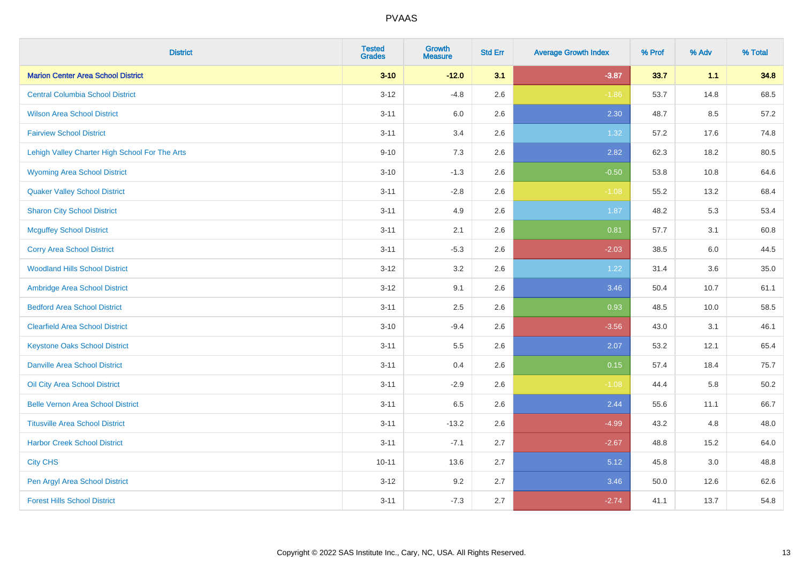| <b>District</b>                                | <b>Tested</b><br><b>Grades</b> | <b>Growth</b><br><b>Measure</b> | <b>Std Err</b> | <b>Average Growth Index</b> | % Prof | % Adv | % Total |
|------------------------------------------------|--------------------------------|---------------------------------|----------------|-----------------------------|--------|-------|---------|
| <b>Marion Center Area School District</b>      | $3 - 10$                       | $-12.0$                         | 3.1            | $-3.87$                     | 33.7   | 1.1   | 34.8    |
| <b>Central Columbia School District</b>        | $3 - 12$                       | $-4.8$                          | 2.6            | $-1.86$                     | 53.7   | 14.8  | 68.5    |
| <b>Wilson Area School District</b>             | $3 - 11$                       | 6.0                             | 2.6            | 2.30                        | 48.7   | 8.5   | 57.2    |
| <b>Fairview School District</b>                | $3 - 11$                       | 3.4                             | 2.6            | 1.32                        | 57.2   | 17.6  | 74.8    |
| Lehigh Valley Charter High School For The Arts | $9 - 10$                       | 7.3                             | 2.6            | 2.82                        | 62.3   | 18.2  | 80.5    |
| <b>Wyoming Area School District</b>            | $3 - 10$                       | $-1.3$                          | 2.6            | $-0.50$                     | 53.8   | 10.8  | 64.6    |
| <b>Quaker Valley School District</b>           | $3 - 11$                       | $-2.8$                          | 2.6            | $-1.08$                     | 55.2   | 13.2  | 68.4    |
| <b>Sharon City School District</b>             | $3 - 11$                       | 4.9                             | 2.6            | 1.87                        | 48.2   | 5.3   | 53.4    |
| <b>Mcguffey School District</b>                | $3 - 11$                       | 2.1                             | 2.6            | 0.81                        | 57.7   | 3.1   | 60.8    |
| <b>Corry Area School District</b>              | $3 - 11$                       | $-5.3$                          | 2.6            | $-2.03$                     | 38.5   | 6.0   | 44.5    |
| <b>Woodland Hills School District</b>          | $3-12$                         | 3.2                             | 2.6            | 1.22                        | 31.4   | 3.6   | 35.0    |
| Ambridge Area School District                  | $3 - 12$                       | 9.1                             | 2.6            | 3.46                        | 50.4   | 10.7  | 61.1    |
| <b>Bedford Area School District</b>            | $3 - 11$                       | 2.5                             | 2.6            | 0.93                        | 48.5   | 10.0  | 58.5    |
| <b>Clearfield Area School District</b>         | $3 - 10$                       | $-9.4$                          | 2.6            | $-3.56$                     | 43.0   | 3.1   | 46.1    |
| <b>Keystone Oaks School District</b>           | $3 - 11$                       | 5.5                             | 2.6            | 2.07                        | 53.2   | 12.1  | 65.4    |
| <b>Danville Area School District</b>           | $3 - 11$                       | 0.4                             | 2.6            | 0.15                        | 57.4   | 18.4  | 75.7    |
| <b>Oil City Area School District</b>           | $3 - 11$                       | $-2.9$                          | 2.6            | $-1.08$                     | 44.4   | 5.8   | 50.2    |
| <b>Belle Vernon Area School District</b>       | $3 - 11$                       | 6.5                             | 2.6            | 2.44                        | 55.6   | 11.1  | 66.7    |
| <b>Titusville Area School District</b>         | $3 - 11$                       | $-13.2$                         | 2.6            | $-4.99$                     | 43.2   | 4.8   | 48.0    |
| <b>Harbor Creek School District</b>            | $3 - 11$                       | $-7.1$                          | 2.7            | $-2.67$                     | 48.8   | 15.2  | 64.0    |
| <b>City CHS</b>                                | $10 - 11$                      | 13.6                            | 2.7            | 5.12                        | 45.8   | 3.0   | 48.8    |
| Pen Argyl Area School District                 | $3 - 12$                       | 9.2                             | 2.7            | 3.46                        | 50.0   | 12.6  | 62.6    |
| <b>Forest Hills School District</b>            | $3 - 11$                       | $-7.3$                          | 2.7            | $-2.74$                     | 41.1   | 13.7  | 54.8    |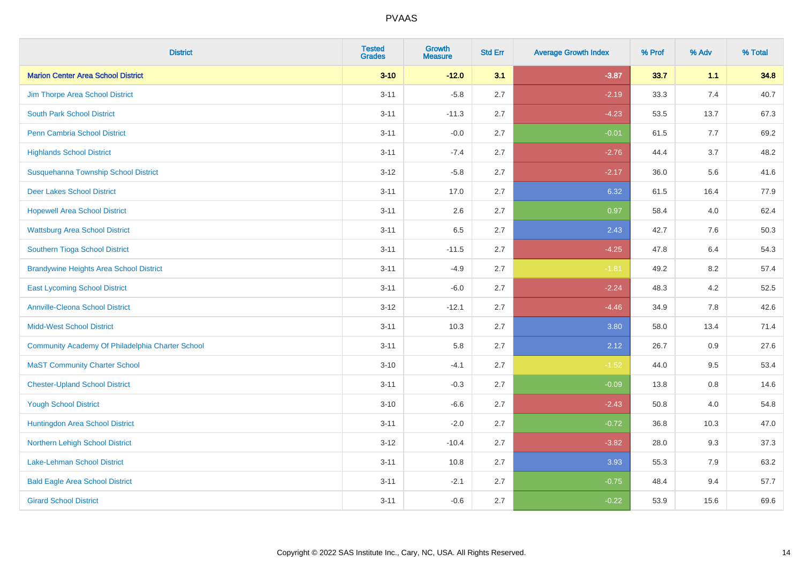| <b>District</b>                                  | <b>Tested</b><br><b>Grades</b> | <b>Growth</b><br><b>Measure</b> | <b>Std Err</b> | <b>Average Growth Index</b> | % Prof | % Adv   | % Total |
|--------------------------------------------------|--------------------------------|---------------------------------|----------------|-----------------------------|--------|---------|---------|
| <b>Marion Center Area School District</b>        | $3 - 10$                       | $-12.0$                         | 3.1            | $-3.87$                     | 33.7   | 1.1     | 34.8    |
| Jim Thorpe Area School District                  | $3 - 11$                       | $-5.8$                          | 2.7            | $-2.19$                     | 33.3   | 7.4     | 40.7    |
| <b>South Park School District</b>                | $3 - 11$                       | $-11.3$                         | 2.7            | $-4.23$                     | 53.5   | 13.7    | 67.3    |
| <b>Penn Cambria School District</b>              | $3 - 11$                       | $-0.0$                          | 2.7            | $-0.01$                     | 61.5   | 7.7     | 69.2    |
| <b>Highlands School District</b>                 | $3 - 11$                       | $-7.4$                          | 2.7            | $-2.76$                     | 44.4   | 3.7     | 48.2    |
| Susquehanna Township School District             | $3 - 12$                       | $-5.8$                          | 2.7            | $-2.17$                     | 36.0   | 5.6     | 41.6    |
| <b>Deer Lakes School District</b>                | $3 - 11$                       | 17.0                            | 2.7            | 6.32                        | 61.5   | 16.4    | 77.9    |
| <b>Hopewell Area School District</b>             | $3 - 11$                       | 2.6                             | 2.7            | 0.97                        | 58.4   | 4.0     | 62.4    |
| <b>Wattsburg Area School District</b>            | $3 - 11$                       | 6.5                             | 2.7            | 2.43                        | 42.7   | 7.6     | 50.3    |
| Southern Tioga School District                   | $3 - 11$                       | $-11.5$                         | 2.7            | $-4.25$                     | 47.8   | 6.4     | 54.3    |
| <b>Brandywine Heights Area School District</b>   | $3 - 11$                       | $-4.9$                          | 2.7            | $-1.81$                     | 49.2   | 8.2     | 57.4    |
| <b>East Lycoming School District</b>             | $3 - 11$                       | $-6.0$                          | 2.7            | $-2.24$                     | 48.3   | 4.2     | 52.5    |
| <b>Annville-Cleona School District</b>           | $3 - 12$                       | $-12.1$                         | 2.7            | $-4.46$                     | 34.9   | $7.8\,$ | 42.6    |
| <b>Midd-West School District</b>                 | $3 - 11$                       | 10.3                            | 2.7            | 3.80                        | 58.0   | 13.4    | 71.4    |
| Community Academy Of Philadelphia Charter School | $3 - 11$                       | 5.8                             | 2.7            | 2.12                        | 26.7   | 0.9     | 27.6    |
| <b>MaST Community Charter School</b>             | $3 - 10$                       | $-4.1$                          | 2.7            | $-1.52$                     | 44.0   | 9.5     | 53.4    |
| <b>Chester-Upland School District</b>            | $3 - 11$                       | $-0.3$                          | 2.7            | $-0.09$                     | 13.8   | $0.8\,$ | 14.6    |
| <b>Yough School District</b>                     | $3 - 10$                       | $-6.6$                          | 2.7            | $-2.43$                     | 50.8   | 4.0     | 54.8    |
| Huntingdon Area School District                  | $3 - 11$                       | $-2.0$                          | 2.7            | $-0.72$                     | 36.8   | 10.3    | 47.0    |
| <b>Northern Lehigh School District</b>           | $3 - 12$                       | $-10.4$                         | 2.7            | $-3.82$                     | 28.0   | 9.3     | 37.3    |
| <b>Lake-Lehman School District</b>               | $3 - 11$                       | 10.8                            | 2.7            | 3.93                        | 55.3   | 7.9     | 63.2    |
| <b>Bald Eagle Area School District</b>           | $3 - 11$                       | $-2.1$                          | 2.7            | $-0.75$                     | 48.4   | 9.4     | 57.7    |
| <b>Girard School District</b>                    | $3 - 11$                       | $-0.6$                          | 2.7            | $-0.22$                     | 53.9   | 15.6    | 69.6    |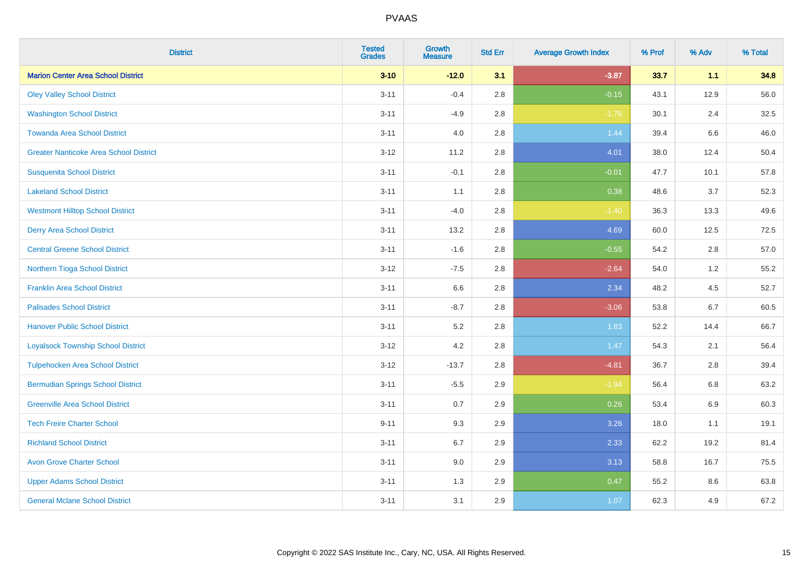| <b>District</b>                               | <b>Tested</b><br><b>Grades</b> | <b>Growth</b><br><b>Measure</b> | <b>Std Err</b> | <b>Average Growth Index</b> | % Prof | % Adv   | % Total |
|-----------------------------------------------|--------------------------------|---------------------------------|----------------|-----------------------------|--------|---------|---------|
| <b>Marion Center Area School District</b>     | $3 - 10$                       | $-12.0$                         | 3.1            | $-3.87$                     | 33.7   | 1.1     | 34.8    |
| <b>Oley Valley School District</b>            | $3 - 11$                       | $-0.4$                          | 2.8            | $-0.15$                     | 43.1   | 12.9    | 56.0    |
| <b>Washington School District</b>             | $3 - 11$                       | $-4.9$                          | 2.8            | $-1.76$                     | 30.1   | 2.4     | 32.5    |
| <b>Towanda Area School District</b>           | $3 - 11$                       | 4.0                             | 2.8            | 1.44                        | 39.4   | $6.6\,$ | 46.0    |
| <b>Greater Nanticoke Area School District</b> | $3 - 12$                       | 11.2                            | 2.8            | 4.01                        | 38.0   | 12.4    | 50.4    |
| <b>Susquenita School District</b>             | $3 - 11$                       | $-0.1$                          | 2.8            | $-0.01$                     | 47.7   | 10.1    | 57.8    |
| <b>Lakeland School District</b>               | $3 - 11$                       | 1.1                             | 2.8            | 0.38                        | 48.6   | 3.7     | 52.3    |
| <b>Westmont Hilltop School District</b>       | $3 - 11$                       | $-4.0$                          | 2.8            | $-1.40$                     | 36.3   | 13.3    | 49.6    |
| <b>Derry Area School District</b>             | $3 - 11$                       | 13.2                            | 2.8            | 4.69                        | 60.0   | 12.5    | 72.5    |
| <b>Central Greene School District</b>         | $3 - 11$                       | $-1.6$                          | 2.8            | $-0.55$                     | 54.2   | 2.8     | 57.0    |
| Northern Tioga School District                | $3 - 12$                       | $-7.5$                          | 2.8            | $-2.64$                     | 54.0   | 1.2     | 55.2    |
| <b>Franklin Area School District</b>          | $3 - 11$                       | 6.6                             | 2.8            | 2.34                        | 48.2   | 4.5     | 52.7    |
| <b>Palisades School District</b>              | $3 - 11$                       | $-8.7$                          | 2.8            | $-3.06$                     | 53.8   | 6.7     | 60.5    |
| <b>Hanover Public School District</b>         | $3 - 11$                       | 5.2                             | 2.8            | 1.83                        | 52.2   | 14.4    | 66.7    |
| <b>Loyalsock Township School District</b>     | $3 - 12$                       | 4.2                             | 2.8            | 1.47                        | 54.3   | 2.1     | 56.4    |
| <b>Tulpehocken Area School District</b>       | $3 - 12$                       | $-13.7$                         | 2.8            | $-4.81$                     | 36.7   | 2.8     | 39.4    |
| <b>Bermudian Springs School District</b>      | $3 - 11$                       | $-5.5$                          | 2.9            | $-1.94$                     | 56.4   | 6.8     | 63.2    |
| <b>Greenville Area School District</b>        | $3 - 11$                       | 0.7                             | 2.9            | 0.26                        | 53.4   | 6.9     | 60.3    |
| <b>Tech Freire Charter School</b>             | $9 - 11$                       | 9.3                             | 2.9            | 3.26                        | 18.0   | 1.1     | 19.1    |
| <b>Richland School District</b>               | $3 - 11$                       | 6.7                             | 2.9            | 2.33                        | 62.2   | 19.2    | 81.4    |
| <b>Avon Grove Charter School</b>              | $3 - 11$                       | 9.0                             | 2.9            | 3.13                        | 58.8   | 16.7    | 75.5    |
| <b>Upper Adams School District</b>            | $3 - 11$                       | 1.3                             | 2.9            | 0.47                        | 55.2   | 8.6     | 63.8    |
| <b>General Mclane School District</b>         | $3 - 11$                       | 3.1                             | 2.9            | 1.07                        | 62.3   | 4.9     | 67.2    |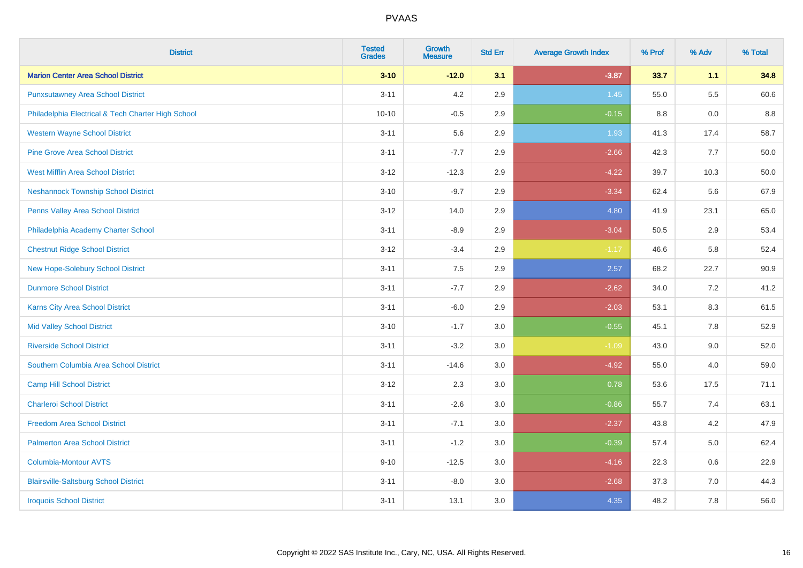| <b>District</b>                                    | <b>Tested</b><br><b>Grades</b> | <b>Growth</b><br><b>Measure</b> | <b>Std Err</b> | <b>Average Growth Index</b> | % Prof | % Adv   | % Total |
|----------------------------------------------------|--------------------------------|---------------------------------|----------------|-----------------------------|--------|---------|---------|
| <b>Marion Center Area School District</b>          | $3 - 10$                       | $-12.0$                         | 3.1            | $-3.87$                     | 33.7   | 1.1     | 34.8    |
| <b>Punxsutawney Area School District</b>           | $3 - 11$                       | 4.2                             | 2.9            | 1.45                        | 55.0   | $5.5\,$ | 60.6    |
| Philadelphia Electrical & Tech Charter High School | $10 - 10$                      | $-0.5$                          | 2.9            | $-0.15$                     | 8.8    | 0.0     | 8.8     |
| <b>Western Wayne School District</b>               | $3 - 11$                       | 5.6                             | 2.9            | 1.93                        | 41.3   | 17.4    | 58.7    |
| <b>Pine Grove Area School District</b>             | $3 - 11$                       | $-7.7$                          | 2.9            | $-2.66$                     | 42.3   | 7.7     | 50.0    |
| <b>West Mifflin Area School District</b>           | $3 - 12$                       | $-12.3$                         | 2.9            | $-4.22$                     | 39.7   | 10.3    | 50.0    |
| <b>Neshannock Township School District</b>         | $3 - 10$                       | $-9.7$                          | 2.9            | $-3.34$                     | 62.4   | 5.6     | 67.9    |
| <b>Penns Valley Area School District</b>           | $3 - 12$                       | 14.0                            | 2.9            | 4.80                        | 41.9   | 23.1    | 65.0    |
| Philadelphia Academy Charter School                | $3 - 11$                       | $-8.9$                          | 2.9            | $-3.04$                     | 50.5   | 2.9     | 53.4    |
| <b>Chestnut Ridge School District</b>              | $3 - 12$                       | $-3.4$                          | 2.9            | $-1.17$                     | 46.6   | 5.8     | 52.4    |
| New Hope-Solebury School District                  | $3 - 11$                       | 7.5                             | 2.9            | 2.57                        | 68.2   | 22.7    | 90.9    |
| <b>Dunmore School District</b>                     | $3 - 11$                       | $-7.7$                          | 2.9            | $-2.62$                     | 34.0   | 7.2     | 41.2    |
| Karns City Area School District                    | $3 - 11$                       | $-6.0$                          | 2.9            | $-2.03$                     | 53.1   | $8.3\,$ | 61.5    |
| <b>Mid Valley School District</b>                  | $3 - 10$                       | $-1.7$                          | 3.0            | $-0.55$                     | 45.1   | $7.8\,$ | 52.9    |
| <b>Riverside School District</b>                   | $3 - 11$                       | $-3.2$                          | 3.0            | $-1.09$                     | 43.0   | 9.0     | 52.0    |
| Southern Columbia Area School District             | $3 - 11$                       | $-14.6$                         | 3.0            | $-4.92$                     | 55.0   | 4.0     | 59.0    |
| <b>Camp Hill School District</b>                   | $3 - 12$                       | 2.3                             | 3.0            | 0.78                        | 53.6   | 17.5    | 71.1    |
| <b>Charleroi School District</b>                   | $3 - 11$                       | $-2.6$                          | 3.0            | $-0.86$                     | 55.7   | 7.4     | 63.1    |
| <b>Freedom Area School District</b>                | $3 - 11$                       | $-7.1$                          | 3.0            | $-2.37$                     | 43.8   | 4.2     | 47.9    |
| <b>Palmerton Area School District</b>              | $3 - 11$                       | $-1.2$                          | 3.0            | $-0.39$                     | 57.4   | 5.0     | 62.4    |
| <b>Columbia-Montour AVTS</b>                       | $9 - 10$                       | $-12.5$                         | 3.0            | $-4.16$                     | 22.3   | 0.6     | 22.9    |
| <b>Blairsville-Saltsburg School District</b>       | $3 - 11$                       | $-8.0$                          | 3.0            | $-2.68$                     | 37.3   | 7.0     | 44.3    |
| <b>Iroquois School District</b>                    | $3 - 11$                       | 13.1                            | 3.0            | 4.35                        | 48.2   | 7.8     | 56.0    |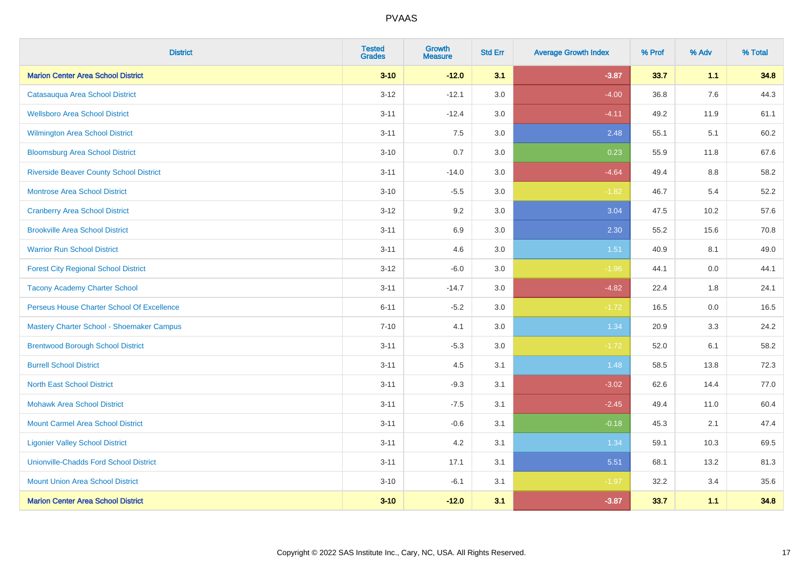| <b>District</b>                                | <b>Tested</b><br><b>Grades</b> | <b>Growth</b><br><b>Measure</b> | <b>Std Err</b> | <b>Average Growth Index</b> | % Prof | % Adv | % Total |
|------------------------------------------------|--------------------------------|---------------------------------|----------------|-----------------------------|--------|-------|---------|
| <b>Marion Center Area School District</b>      | $3 - 10$                       | $-12.0$                         | 3.1            | $-3.87$                     | 33.7   | 1.1   | 34.8    |
| Catasauqua Area School District                | $3 - 12$                       | $-12.1$                         | 3.0            | $-4.00$                     | 36.8   | 7.6   | 44.3    |
| <b>Wellsboro Area School District</b>          | $3 - 11$                       | $-12.4$                         | 3.0            | $-4.11$                     | 49.2   | 11.9  | 61.1    |
| <b>Wilmington Area School District</b>         | $3 - 11$                       | 7.5                             | 3.0            | 2.48                        | 55.1   | 5.1   | 60.2    |
| <b>Bloomsburg Area School District</b>         | $3 - 10$                       | 0.7                             | 3.0            | 0.23                        | 55.9   | 11.8  | 67.6    |
| <b>Riverside Beaver County School District</b> | $3 - 11$                       | $-14.0$                         | 3.0            | $-4.64$                     | 49.4   | 8.8   | 58.2    |
| <b>Montrose Area School District</b>           | $3 - 10$                       | $-5.5$                          | 3.0            | $-1.82$                     | 46.7   | 5.4   | 52.2    |
| <b>Cranberry Area School District</b>          | $3 - 12$                       | 9.2                             | 3.0            | 3.04                        | 47.5   | 10.2  | 57.6    |
| <b>Brookville Area School District</b>         | $3 - 11$                       | 6.9                             | 3.0            | 2.30                        | 55.2   | 15.6  | 70.8    |
| <b>Warrior Run School District</b>             | $3 - 11$                       | 4.6                             | 3.0            | 1.51                        | 40.9   | 8.1   | 49.0    |
| <b>Forest City Regional School District</b>    | $3 - 12$                       | $-6.0$                          | 3.0            | $-1.96$                     | 44.1   | 0.0   | 44.1    |
| <b>Tacony Academy Charter School</b>           | $3 - 11$                       | $-14.7$                         | 3.0            | $-4.82$                     | 22.4   | 1.8   | 24.1    |
| Perseus House Charter School Of Excellence     | $6 - 11$                       | $-5.2$                          | 3.0            | $-1.72$                     | 16.5   | 0.0   | 16.5    |
| Mastery Charter School - Shoemaker Campus      | $7 - 10$                       | 4.1                             | 3.0            | 1.34                        | 20.9   | 3.3   | 24.2    |
| <b>Brentwood Borough School District</b>       | $3 - 11$                       | $-5.3$                          | 3.0            | $-1.72$                     | 52.0   | 6.1   | 58.2    |
| <b>Burrell School District</b>                 | $3 - 11$                       | 4.5                             | 3.1            | 1.48                        | 58.5   | 13.8  | 72.3    |
| <b>North East School District</b>              | $3 - 11$                       | $-9.3$                          | 3.1            | $-3.02$                     | 62.6   | 14.4  | 77.0    |
| <b>Mohawk Area School District</b>             | $3 - 11$                       | $-7.5$                          | 3.1            | $-2.45$                     | 49.4   | 11.0  | 60.4    |
| <b>Mount Carmel Area School District</b>       | $3 - 11$                       | $-0.6$                          | 3.1            | $-0.18$                     | 45.3   | 2.1   | 47.4    |
| <b>Ligonier Valley School District</b>         | $3 - 11$                       | 4.2                             | 3.1            | 1.34                        | 59.1   | 10.3  | 69.5    |
| <b>Unionville-Chadds Ford School District</b>  | $3 - 11$                       | 17.1                            | 3.1            | 5.51                        | 68.1   | 13.2  | 81.3    |
| <b>Mount Union Area School District</b>        | $3 - 10$                       | $-6.1$                          | 3.1            | $-1.97$                     | 32.2   | 3.4   | 35.6    |
| <b>Marion Center Area School District</b>      | $3 - 10$                       | $-12.0$                         | 3.1            | $-3.87$                     | 33.7   | 1.1   | 34.8    |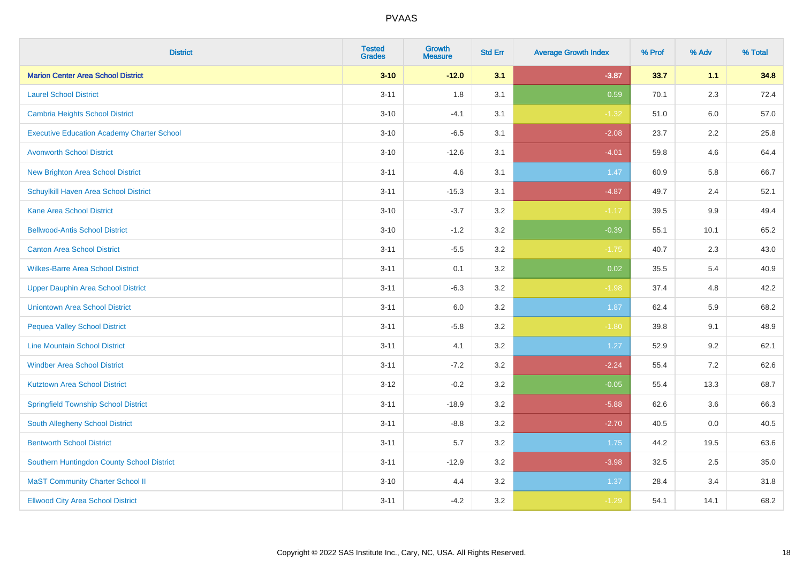| <b>District</b>                                   | <b>Tested</b><br><b>Grades</b> | <b>Growth</b><br><b>Measure</b> | <b>Std Err</b> | <b>Average Growth Index</b> | % Prof | % Adv   | % Total |
|---------------------------------------------------|--------------------------------|---------------------------------|----------------|-----------------------------|--------|---------|---------|
| <b>Marion Center Area School District</b>         | $3 - 10$                       | $-12.0$                         | 3.1            | $-3.87$                     | 33.7   | 1.1     | 34.8    |
| <b>Laurel School District</b>                     | $3 - 11$                       | 1.8                             | 3.1            | 0.59                        | 70.1   | 2.3     | 72.4    |
| <b>Cambria Heights School District</b>            | $3 - 10$                       | $-4.1$                          | 3.1            | $-1.32$                     | 51.0   | 6.0     | 57.0    |
| <b>Executive Education Academy Charter School</b> | $3 - 10$                       | $-6.5$                          | 3.1            | $-2.08$                     | 23.7   | 2.2     | 25.8    |
| <b>Avonworth School District</b>                  | $3 - 10$                       | $-12.6$                         | 3.1            | $-4.01$                     | 59.8   | 4.6     | 64.4    |
| <b>New Brighton Area School District</b>          | $3 - 11$                       | 4.6                             | 3.1            | $1.47$                      | 60.9   | 5.8     | 66.7    |
| Schuylkill Haven Area School District             | $3 - 11$                       | $-15.3$                         | 3.1            | $-4.87$                     | 49.7   | 2.4     | 52.1    |
| <b>Kane Area School District</b>                  | $3 - 10$                       | $-3.7$                          | 3.2            | $-1.17$                     | 39.5   | 9.9     | 49.4    |
| <b>Bellwood-Antis School District</b>             | $3 - 10$                       | $-1.2$                          | 3.2            | $-0.39$                     | 55.1   | 10.1    | 65.2    |
| <b>Canton Area School District</b>                | $3 - 11$                       | $-5.5$                          | 3.2            | $-1.75$                     | 40.7   | 2.3     | 43.0    |
| <b>Wilkes-Barre Area School District</b>          | $3 - 11$                       | 0.1                             | 3.2            | 0.02                        | 35.5   | 5.4     | 40.9    |
| <b>Upper Dauphin Area School District</b>         | $3 - 11$                       | $-6.3$                          | 3.2            | $-1.98$                     | 37.4   | 4.8     | 42.2    |
| <b>Uniontown Area School District</b>             | $3 - 11$                       | 6.0                             | 3.2            | 1.87                        | 62.4   | 5.9     | 68.2    |
| <b>Pequea Valley School District</b>              | $3 - 11$                       | $-5.8$                          | 3.2            | $-1.80$                     | 39.8   | 9.1     | 48.9    |
| <b>Line Mountain School District</b>              | $3 - 11$                       | 4.1                             | 3.2            | 1.27                        | 52.9   | 9.2     | 62.1    |
| <b>Windber Area School District</b>               | $3 - 11$                       | $-7.2$                          | 3.2            | $-2.24$                     | 55.4   | 7.2     | 62.6    |
| <b>Kutztown Area School District</b>              | $3 - 12$                       | $-0.2$                          | 3.2            | $-0.05$                     | 55.4   | 13.3    | 68.7    |
| <b>Springfield Township School District</b>       | $3 - 11$                       | $-18.9$                         | 3.2            | $-5.88$                     | 62.6   | 3.6     | 66.3    |
| South Allegheny School District                   | $3 - 11$                       | $-8.8$                          | 3.2            | $-2.70$                     | 40.5   | $0.0\,$ | 40.5    |
| <b>Bentworth School District</b>                  | $3 - 11$                       | 5.7                             | 3.2            | 1.75                        | 44.2   | 19.5    | 63.6    |
| Southern Huntingdon County School District        | $3 - 11$                       | $-12.9$                         | 3.2            | $-3.98$                     | 32.5   | 2.5     | 35.0    |
| <b>MaST Community Charter School II</b>           | $3 - 10$                       | 4.4                             | 3.2            | 1.37                        | 28.4   | 3.4     | 31.8    |
| <b>Ellwood City Area School District</b>          | $3 - 11$                       | $-4.2$                          | 3.2            | $-1.29$                     | 54.1   | 14.1    | 68.2    |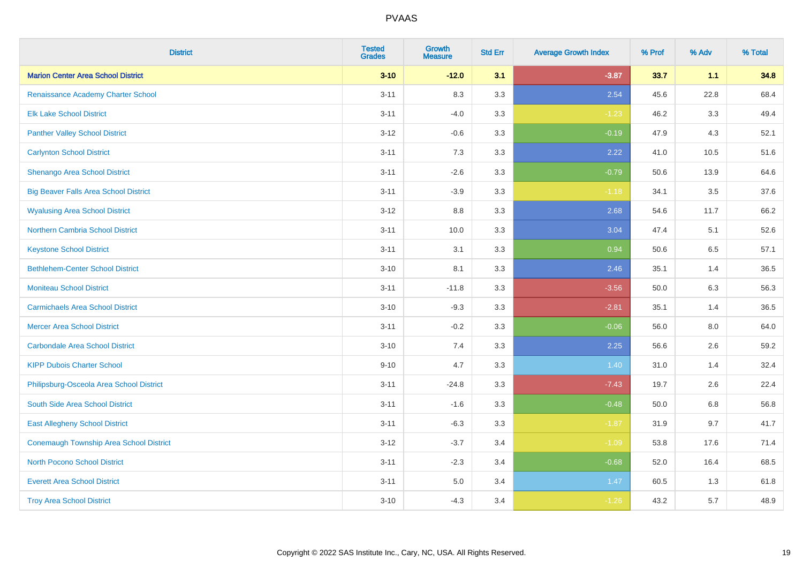| <b>District</b>                              | <b>Tested</b><br><b>Grades</b> | <b>Growth</b><br><b>Measure</b> | <b>Std Err</b> | <b>Average Growth Index</b> | % Prof | % Adv | % Total |
|----------------------------------------------|--------------------------------|---------------------------------|----------------|-----------------------------|--------|-------|---------|
| <b>Marion Center Area School District</b>    | $3 - 10$                       | $-12.0$                         | 3.1            | $-3.87$                     | 33.7   | 1.1   | 34.8    |
| Renaissance Academy Charter School           | $3 - 11$                       | 8.3                             | 3.3            | 2.54                        | 45.6   | 22.8  | 68.4    |
| <b>Elk Lake School District</b>              | $3 - 11$                       | $-4.0$                          | 3.3            | $-1.23$                     | 46.2   | 3.3   | 49.4    |
| <b>Panther Valley School District</b>        | $3 - 12$                       | $-0.6$                          | 3.3            | $-0.19$                     | 47.9   | 4.3   | 52.1    |
| <b>Carlynton School District</b>             | $3 - 11$                       | 7.3                             | 3.3            | 2.22                        | 41.0   | 10.5  | 51.6    |
| Shenango Area School District                | $3 - 11$                       | $-2.6$                          | 3.3            | $-0.79$                     | 50.6   | 13.9  | 64.6    |
| <b>Big Beaver Falls Area School District</b> | $3 - 11$                       | $-3.9$                          | 3.3            | $-1.18$                     | 34.1   | 3.5   | 37.6    |
| <b>Wyalusing Area School District</b>        | $3-12$                         | 8.8                             | 3.3            | 2.68                        | 54.6   | 11.7  | 66.2    |
| <b>Northern Cambria School District</b>      | $3 - 11$                       | 10.0                            | 3.3            | 3.04                        | 47.4   | 5.1   | 52.6    |
| <b>Keystone School District</b>              | $3 - 11$                       | 3.1                             | 3.3            | 0.94                        | 50.6   | 6.5   | 57.1    |
| <b>Bethlehem-Center School District</b>      | $3 - 10$                       | 8.1                             | 3.3            | 2.46                        | 35.1   | 1.4   | 36.5    |
| <b>Moniteau School District</b>              | $3 - 11$                       | $-11.8$                         | 3.3            | $-3.56$                     | 50.0   | 6.3   | 56.3    |
| <b>Carmichaels Area School District</b>      | $3 - 10$                       | $-9.3$                          | 3.3            | $-2.81$                     | 35.1   | 1.4   | 36.5    |
| <b>Mercer Area School District</b>           | $3 - 11$                       | $-0.2$                          | 3.3            | $-0.06$                     | 56.0   | 8.0   | 64.0    |
| <b>Carbondale Area School District</b>       | $3 - 10$                       | 7.4                             | 3.3            | 2.25                        | 56.6   | 2.6   | 59.2    |
| <b>KIPP Dubois Charter School</b>            | $9 - 10$                       | 4.7                             | 3.3            | 1.40                        | 31.0   | 1.4   | 32.4    |
| Philipsburg-Osceola Area School District     | $3 - 11$                       | $-24.8$                         | 3.3            | $-7.43$                     | 19.7   | 2.6   | 22.4    |
| South Side Area School District              | $3 - 11$                       | $-1.6$                          | 3.3            | $-0.48$                     | 50.0   | 6.8   | 56.8    |
| <b>East Allegheny School District</b>        | $3 - 11$                       | $-6.3$                          | 3.3            | $-1.87$                     | 31.9   | 9.7   | 41.7    |
| Conemaugh Township Area School District      | $3 - 12$                       | $-3.7$                          | 3.4            | $-1.09$                     | 53.8   | 17.6  | 71.4    |
| <b>North Pocono School District</b>          | $3 - 11$                       | $-2.3$                          | 3.4            | $-0.68$                     | 52.0   | 16.4  | 68.5    |
| <b>Everett Area School District</b>          | $3 - 11$                       | $5.0\,$                         | 3.4            | 1.47                        | 60.5   | 1.3   | 61.8    |
| <b>Troy Area School District</b>             | $3 - 10$                       | $-4.3$                          | 3.4            | $-1.26$                     | 43.2   | 5.7   | 48.9    |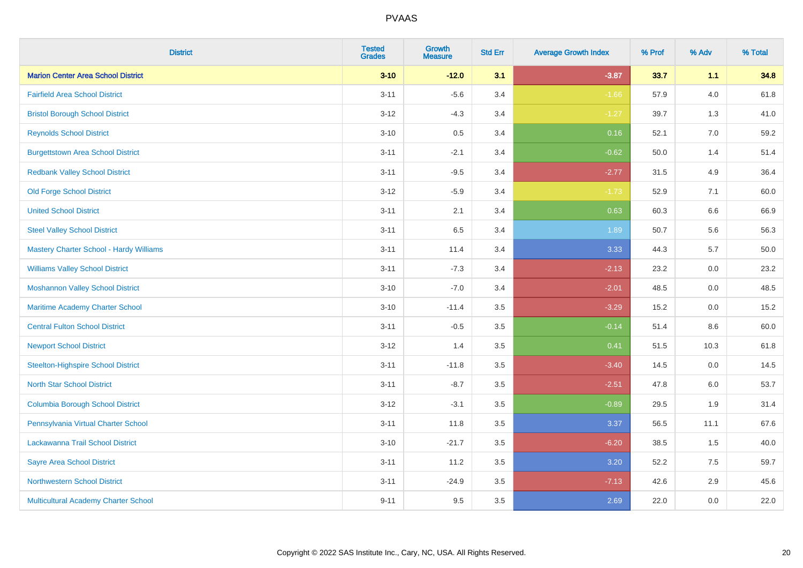| <b>District</b>                                | <b>Tested</b><br><b>Grades</b> | <b>Growth</b><br><b>Measure</b> | <b>Std Err</b> | <b>Average Growth Index</b> | % Prof | % Adv   | % Total |
|------------------------------------------------|--------------------------------|---------------------------------|----------------|-----------------------------|--------|---------|---------|
| <b>Marion Center Area School District</b>      | $3 - 10$                       | $-12.0$                         | 3.1            | $-3.87$                     | 33.7   | 1.1     | 34.8    |
| <b>Fairfield Area School District</b>          | $3 - 11$                       | $-5.6$                          | 3.4            | $-1.66$                     | 57.9   | $4.0\,$ | 61.8    |
| <b>Bristol Borough School District</b>         | $3 - 12$                       | $-4.3$                          | 3.4            | $-1.27$                     | 39.7   | 1.3     | 41.0    |
| <b>Reynolds School District</b>                | $3 - 10$                       | 0.5                             | 3.4            | 0.16                        | 52.1   | 7.0     | 59.2    |
| <b>Burgettstown Area School District</b>       | $3 - 11$                       | $-2.1$                          | 3.4            | $-0.62$                     | 50.0   | 1.4     | 51.4    |
| <b>Redbank Valley School District</b>          | $3 - 11$                       | $-9.5$                          | 3.4            | $-2.77$                     | 31.5   | 4.9     | 36.4    |
| <b>Old Forge School District</b>               | $3 - 12$                       | $-5.9$                          | 3.4            | $-1.73$                     | 52.9   | 7.1     | 60.0    |
| <b>United School District</b>                  | $3 - 11$                       | 2.1                             | 3.4            | 0.63                        | 60.3   | 6.6     | 66.9    |
| <b>Steel Valley School District</b>            | $3 - 11$                       | 6.5                             | 3.4            | 1.89                        | 50.7   | 5.6     | 56.3    |
| <b>Mastery Charter School - Hardy Williams</b> | $3 - 11$                       | 11.4                            | 3.4            | 3.33                        | 44.3   | 5.7     | 50.0    |
| <b>Williams Valley School District</b>         | $3 - 11$                       | $-7.3$                          | 3.4            | $-2.13$                     | 23.2   | 0.0     | 23.2    |
| <b>Moshannon Valley School District</b>        | $3 - 10$                       | $-7.0$                          | 3.4            | $-2.01$                     | 48.5   | 0.0     | 48.5    |
| Maritime Academy Charter School                | $3 - 10$                       | $-11.4$                         | 3.5            | $-3.29$                     | 15.2   | $0.0\,$ | 15.2    |
| <b>Central Fulton School District</b>          | $3 - 11$                       | $-0.5$                          | 3.5            | $-0.14$                     | 51.4   | 8.6     | 60.0    |
| <b>Newport School District</b>                 | $3 - 12$                       | 1.4                             | 3.5            | 0.41                        | 51.5   | 10.3    | 61.8    |
| <b>Steelton-Highspire School District</b>      | $3 - 11$                       | $-11.8$                         | 3.5            | $-3.40$                     | 14.5   | $0.0\,$ | 14.5    |
| <b>North Star School District</b>              | $3 - 11$                       | $-8.7$                          | 3.5            | $-2.51$                     | 47.8   | 6.0     | 53.7    |
| <b>Columbia Borough School District</b>        | $3 - 12$                       | $-3.1$                          | 3.5            | $-0.89$                     | 29.5   | 1.9     | 31.4    |
| Pennsylvania Virtual Charter School            | $3 - 11$                       | 11.8                            | 3.5            | 3.37                        | 56.5   | 11.1    | 67.6    |
| Lackawanna Trail School District               | $3 - 10$                       | $-21.7$                         | 3.5            | $-6.20$                     | 38.5   | 1.5     | 40.0    |
| <b>Sayre Area School District</b>              | $3 - 11$                       | 11.2                            | 3.5            | 3.20                        | 52.2   | 7.5     | 59.7    |
| <b>Northwestern School District</b>            | $3 - 11$                       | $-24.9$                         | 3.5            | $-7.13$                     | 42.6   | 2.9     | 45.6    |
| <b>Multicultural Academy Charter School</b>    | $9 - 11$                       | 9.5                             | 3.5            | 2.69                        | 22.0   | 0.0     | 22.0    |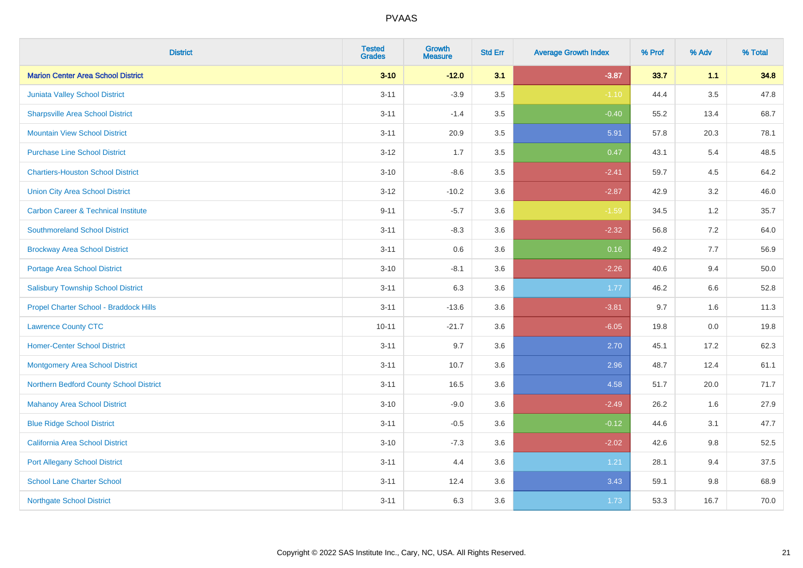| <b>District</b>                                | <b>Tested</b><br><b>Grades</b> | <b>Growth</b><br><b>Measure</b> | <b>Std Err</b> | <b>Average Growth Index</b> | % Prof | % Adv   | % Total |
|------------------------------------------------|--------------------------------|---------------------------------|----------------|-----------------------------|--------|---------|---------|
| <b>Marion Center Area School District</b>      | $3 - 10$                       | $-12.0$                         | 3.1            | $-3.87$                     | 33.7   | 1.1     | 34.8    |
| Juniata Valley School District                 | $3 - 11$                       | $-3.9$                          | 3.5            | $-1.10$                     | 44.4   | $3.5\,$ | 47.8    |
| <b>Sharpsville Area School District</b>        | $3 - 11$                       | $-1.4$                          | 3.5            | $-0.40$                     | 55.2   | 13.4    | 68.7    |
| <b>Mountain View School District</b>           | $3 - 11$                       | 20.9                            | 3.5            | 5.91                        | 57.8   | 20.3    | 78.1    |
| <b>Purchase Line School District</b>           | $3 - 12$                       | 1.7                             | 3.5            | 0.47                        | 43.1   | 5.4     | 48.5    |
| <b>Chartiers-Houston School District</b>       | $3 - 10$                       | $-8.6$                          | 3.5            | $-2.41$                     | 59.7   | 4.5     | 64.2    |
| <b>Union City Area School District</b>         | $3 - 12$                       | $-10.2$                         | 3.6            | $-2.87$                     | 42.9   | 3.2     | 46.0    |
| <b>Carbon Career &amp; Technical Institute</b> | $9 - 11$                       | $-5.7$                          | 3.6            | $-1.59$                     | 34.5   | 1.2     | 35.7    |
| <b>Southmoreland School District</b>           | $3 - 11$                       | $-8.3$                          | 3.6            | $-2.32$                     | 56.8   | 7.2     | 64.0    |
| <b>Brockway Area School District</b>           | $3 - 11$                       | 0.6                             | 3.6            | 0.16                        | 49.2   | 7.7     | 56.9    |
| Portage Area School District                   | $3 - 10$                       | $-8.1$                          | 3.6            | $-2.26$                     | 40.6   | 9.4     | 50.0    |
| <b>Salisbury Township School District</b>      | $3 - 11$                       | 6.3                             | 3.6            | 1.77                        | 46.2   | 6.6     | 52.8    |
| Propel Charter School - Braddock Hills         | $3 - 11$                       | $-13.6$                         | 3.6            | $-3.81$                     | 9.7    | 1.6     | 11.3    |
| <b>Lawrence County CTC</b>                     | $10 - 11$                      | $-21.7$                         | 3.6            | $-6.05$                     | 19.8   | $0.0\,$ | 19.8    |
| <b>Homer-Center School District</b>            | $3 - 11$                       | 9.7                             | 3.6            | 2.70                        | 45.1   | 17.2    | 62.3    |
| <b>Montgomery Area School District</b>         | $3 - 11$                       | 10.7                            | 3.6            | 2.96                        | 48.7   | 12.4    | 61.1    |
| Northern Bedford County School District        | $3 - 11$                       | 16.5                            | 3.6            | 4.58                        | 51.7   | 20.0    | 71.7    |
| <b>Mahanoy Area School District</b>            | $3 - 10$                       | $-9.0$                          | 3.6            | $-2.49$                     | 26.2   | 1.6     | 27.9    |
| <b>Blue Ridge School District</b>              | $3 - 11$                       | $-0.5$                          | 3.6            | $-0.12$                     | 44.6   | 3.1     | 47.7    |
| California Area School District                | $3 - 10$                       | $-7.3$                          | 3.6            | $-2.02$                     | 42.6   | 9.8     | 52.5    |
| <b>Port Allegany School District</b>           | $3 - 11$                       | 4.4                             | 3.6            | 1.21                        | 28.1   | 9.4     | 37.5    |
| <b>School Lane Charter School</b>              | $3 - 11$                       | 12.4                            | 3.6            | 3.43                        | 59.1   | 9.8     | 68.9    |
| <b>Northgate School District</b>               | $3 - 11$                       | 6.3                             | 3.6            | 1.73                        | 53.3   | 16.7    | 70.0    |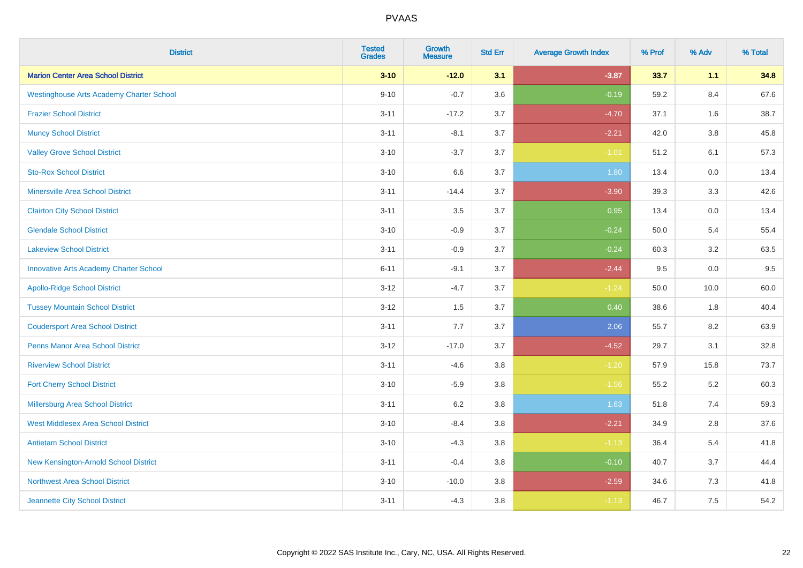| <b>District</b>                                 | <b>Tested</b><br><b>Grades</b> | <b>Growth</b><br><b>Measure</b> | <b>Std Err</b> | <b>Average Growth Index</b> | % Prof | % Adv   | % Total |
|-------------------------------------------------|--------------------------------|---------------------------------|----------------|-----------------------------|--------|---------|---------|
| <b>Marion Center Area School District</b>       | $3 - 10$                       | $-12.0$                         | 3.1            | $-3.87$                     | 33.7   | 1.1     | 34.8    |
| <b>Westinghouse Arts Academy Charter School</b> | $9 - 10$                       | $-0.7$                          | 3.6            | $-0.19$                     | 59.2   | 8.4     | 67.6    |
| <b>Frazier School District</b>                  | $3 - 11$                       | $-17.2$                         | 3.7            | $-4.70$                     | 37.1   | 1.6     | 38.7    |
| <b>Muncy School District</b>                    | $3 - 11$                       | $-8.1$                          | 3.7            | $-2.21$                     | 42.0   | $3.8\,$ | 45.8    |
| <b>Valley Grove School District</b>             | $3 - 10$                       | $-3.7$                          | 3.7            | $-1.01$                     | 51.2   | 6.1     | 57.3    |
| <b>Sto-Rox School District</b>                  | $3 - 10$                       | 6.6                             | 3.7            | 1.80                        | 13.4   | 0.0     | 13.4    |
| <b>Minersville Area School District</b>         | $3 - 11$                       | $-14.4$                         | 3.7            | $-3.90$                     | 39.3   | 3.3     | 42.6    |
| <b>Clairton City School District</b>            | $3 - 11$                       | 3.5                             | 3.7            | 0.95                        | 13.4   | 0.0     | 13.4    |
| <b>Glendale School District</b>                 | $3 - 10$                       | $-0.9$                          | 3.7            | $-0.24$                     | 50.0   | 5.4     | 55.4    |
| <b>Lakeview School District</b>                 | $3 - 11$                       | $-0.9$                          | 3.7            | $-0.24$                     | 60.3   | $3.2\,$ | 63.5    |
| <b>Innovative Arts Academy Charter School</b>   | $6 - 11$                       | $-9.1$                          | 3.7            | $-2.44$                     | 9.5    | 0.0     | 9.5     |
| <b>Apollo-Ridge School District</b>             | $3 - 12$                       | $-4.7$                          | 3.7            | $-1.24$                     | 50.0   | 10.0    | 60.0    |
| <b>Tussey Mountain School District</b>          | $3 - 12$                       | 1.5                             | 3.7            | 0.40                        | 38.6   | 1.8     | 40.4    |
| <b>Coudersport Area School District</b>         | $3 - 11$                       | $7.7\,$                         | 3.7            | 2.06                        | 55.7   | 8.2     | 63.9    |
| <b>Penns Manor Area School District</b>         | $3 - 12$                       | $-17.0$                         | 3.7            | $-4.52$                     | 29.7   | 3.1     | 32.8    |
| <b>Riverview School District</b>                | $3 - 11$                       | $-4.6$                          | 3.8            | $-1.20$                     | 57.9   | 15.8    | 73.7    |
| <b>Fort Cherry School District</b>              | $3 - 10$                       | $-5.9$                          | 3.8            | $-1.56$                     | 55.2   | 5.2     | 60.3    |
| Millersburg Area School District                | $3 - 11$                       | $6.2\,$                         | 3.8            | 1.63                        | 51.8   | 7.4     | 59.3    |
| <b>West Middlesex Area School District</b>      | $3 - 10$                       | $-8.4$                          | $3.8\,$        | $-2.21$                     | 34.9   | 2.8     | 37.6    |
| <b>Antietam School District</b>                 | $3 - 10$                       | $-4.3$                          | 3.8            | $-1.13$                     | 36.4   | 5.4     | 41.8    |
| New Kensington-Arnold School District           | $3 - 11$                       | $-0.4$                          | 3.8            | $-0.10$                     | 40.7   | 3.7     | 44.4    |
| Northwest Area School District                  | $3 - 10$                       | $-10.0$                         | 3.8            | $-2.59$                     | 34.6   | 7.3     | 41.8    |
| Jeannette City School District                  | $3 - 11$                       | $-4.3$                          | 3.8            | $-1.13$                     | 46.7   | 7.5     | 54.2    |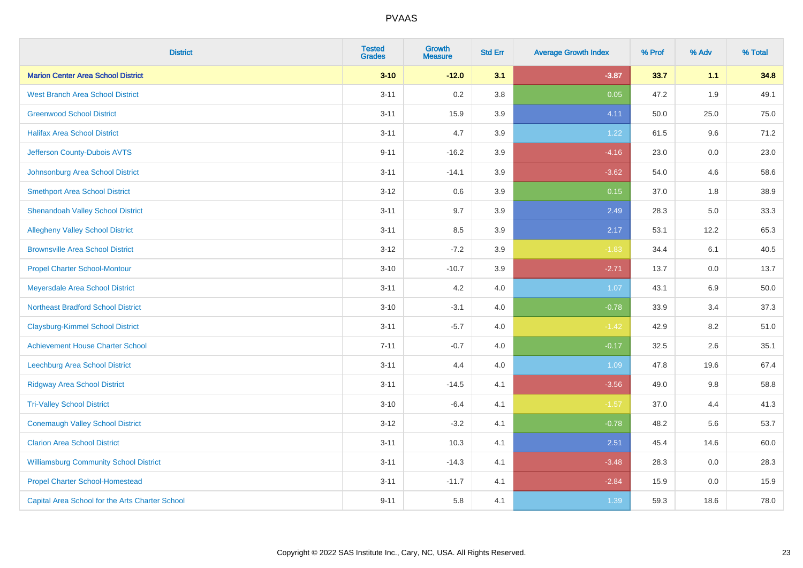| <b>District</b>                                 | <b>Tested</b><br><b>Grades</b> | <b>Growth</b><br><b>Measure</b> | <b>Std Err</b> | <b>Average Growth Index</b> | % Prof | % Adv | % Total |
|-------------------------------------------------|--------------------------------|---------------------------------|----------------|-----------------------------|--------|-------|---------|
| <b>Marion Center Area School District</b>       | $3 - 10$                       | $-12.0$                         | 3.1            | $-3.87$                     | 33.7   | 1.1   | 34.8    |
| <b>West Branch Area School District</b>         | $3 - 11$                       | 0.2                             | 3.8            | 0.05                        | 47.2   | 1.9   | 49.1    |
| <b>Greenwood School District</b>                | $3 - 11$                       | 15.9                            | 3.9            | 4.11                        | 50.0   | 25.0  | 75.0    |
| <b>Halifax Area School District</b>             | $3 - 11$                       | 4.7                             | 3.9            | 1.22                        | 61.5   | 9.6   | 71.2    |
| Jefferson County-Dubois AVTS                    | $9 - 11$                       | $-16.2$                         | 3.9            | $-4.16$                     | 23.0   | 0.0   | 23.0    |
| Johnsonburg Area School District                | $3 - 11$                       | $-14.1$                         | 3.9            | $-3.62$                     | 54.0   | 4.6   | 58.6    |
| <b>Smethport Area School District</b>           | $3 - 12$                       | 0.6                             | 3.9            | 0.15                        | 37.0   | 1.8   | 38.9    |
| <b>Shenandoah Valley School District</b>        | $3 - 11$                       | 9.7                             | 3.9            | 2.49                        | 28.3   | 5.0   | 33.3    |
| <b>Allegheny Valley School District</b>         | $3 - 11$                       | 8.5                             | 3.9            | 2.17                        | 53.1   | 12.2  | 65.3    |
| <b>Brownsville Area School District</b>         | $3 - 12$                       | $-7.2$                          | 3.9            | $-1.83$                     | 34.4   | 6.1   | 40.5    |
| <b>Propel Charter School-Montour</b>            | $3 - 10$                       | $-10.7$                         | 3.9            | $-2.71$                     | 13.7   | 0.0   | 13.7    |
| Meyersdale Area School District                 | $3 - 11$                       | 4.2                             | 4.0            | 1.07                        | 43.1   | 6.9   | 50.0    |
| <b>Northeast Bradford School District</b>       | $3 - 10$                       | $-3.1$                          | 4.0            | $-0.78$                     | 33.9   | 3.4   | 37.3    |
| <b>Claysburg-Kimmel School District</b>         | $3 - 11$                       | $-5.7$                          | 4.0            | $-1.42$                     | 42.9   | 8.2   | 51.0    |
| <b>Achievement House Charter School</b>         | $7 - 11$                       | $-0.7$                          | 4.0            | $-0.17$                     | 32.5   | 2.6   | 35.1    |
| <b>Leechburg Area School District</b>           | $3 - 11$                       | 4.4                             | 4.0            | 1.09                        | 47.8   | 19.6  | 67.4    |
| <b>Ridgway Area School District</b>             | $3 - 11$                       | $-14.5$                         | 4.1            | $-3.56$                     | 49.0   | 9.8   | 58.8    |
| <b>Tri-Valley School District</b>               | $3 - 10$                       | $-6.4$                          | 4.1            | $-1.57$                     | 37.0   | 4.4   | 41.3    |
| <b>Conemaugh Valley School District</b>         | $3 - 12$                       | $-3.2$                          | 4.1            | $-0.78$                     | 48.2   | 5.6   | 53.7    |
| <b>Clarion Area School District</b>             | $3 - 11$                       | 10.3                            | 4.1            | 2.51                        | 45.4   | 14.6  | 60.0    |
| <b>Williamsburg Community School District</b>   | $3 - 11$                       | $-14.3$                         | 4.1            | $-3.48$                     | 28.3   | 0.0   | 28.3    |
| <b>Propel Charter School-Homestead</b>          | $3 - 11$                       | $-11.7$                         | 4.1            | $-2.84$                     | 15.9   | 0.0   | 15.9    |
| Capital Area School for the Arts Charter School | $9 - 11$                       | 5.8                             | 4.1            | 1.39                        | 59.3   | 18.6  | 78.0    |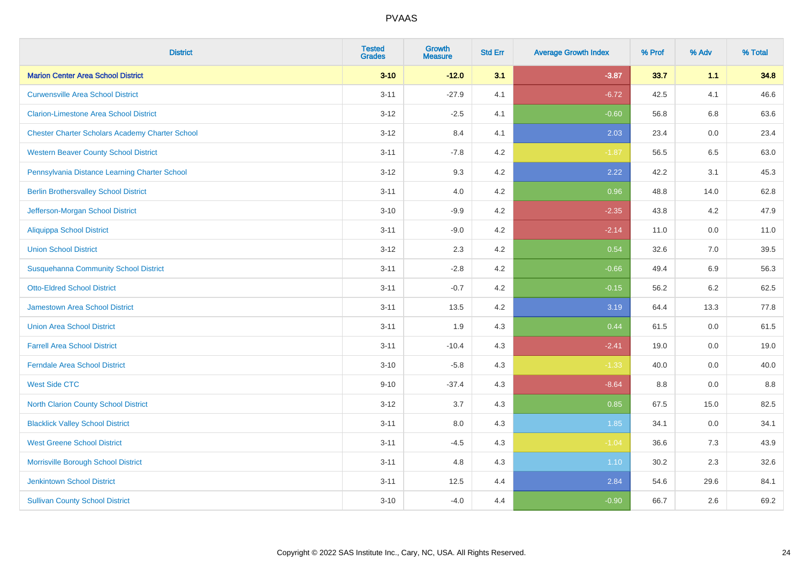| <b>District</b>                                        | <b>Tested</b><br><b>Grades</b> | <b>Growth</b><br><b>Measure</b> | <b>Std Err</b> | <b>Average Growth Index</b> | % Prof | % Adv   | % Total |
|--------------------------------------------------------|--------------------------------|---------------------------------|----------------|-----------------------------|--------|---------|---------|
| <b>Marion Center Area School District</b>              | $3 - 10$                       | $-12.0$                         | 3.1            | $-3.87$                     | 33.7   | 1.1     | 34.8    |
| <b>Curwensville Area School District</b>               | $3 - 11$                       | $-27.9$                         | 4.1            | $-6.72$                     | 42.5   | 4.1     | 46.6    |
| <b>Clarion-Limestone Area School District</b>          | $3 - 12$                       | $-2.5$                          | 4.1            | $-0.60$                     | 56.8   | 6.8     | 63.6    |
| <b>Chester Charter Scholars Academy Charter School</b> | $3 - 12$                       | 8.4                             | 4.1            | 2.03                        | 23.4   | $0.0\,$ | 23.4    |
| <b>Western Beaver County School District</b>           | $3 - 11$                       | $-7.8$                          | 4.2            | $-1.87$                     | 56.5   | 6.5     | 63.0    |
| Pennsylvania Distance Learning Charter School          | $3 - 12$                       | 9.3                             | 4.2            | 2.22                        | 42.2   | 3.1     | 45.3    |
| <b>Berlin Brothersvalley School District</b>           | $3 - 11$                       | 4.0                             | 4.2            | 0.96                        | 48.8   | 14.0    | 62.8    |
| Jefferson-Morgan School District                       | $3 - 10$                       | $-9.9$                          | 4.2            | $-2.35$                     | 43.8   | 4.2     | 47.9    |
| <b>Aliquippa School District</b>                       | $3 - 11$                       | $-9.0$                          | 4.2            | $-2.14$                     | 11.0   | 0.0     | 11.0    |
| <b>Union School District</b>                           | $3 - 12$                       | 2.3                             | 4.2            | 0.54                        | 32.6   | 7.0     | 39.5    |
| <b>Susquehanna Community School District</b>           | $3 - 11$                       | $-2.8$                          | 4.2            | $-0.66$                     | 49.4   | 6.9     | 56.3    |
| <b>Otto-Eldred School District</b>                     | $3 - 11$                       | $-0.7$                          | 4.2            | $-0.15$                     | 56.2   | 6.2     | 62.5    |
| <b>Jamestown Area School District</b>                  | $3 - 11$                       | 13.5                            | 4.2            | 3.19                        | 64.4   | 13.3    | 77.8    |
| <b>Union Area School District</b>                      | $3 - 11$                       | 1.9                             | 4.3            | 0.44                        | 61.5   | 0.0     | 61.5    |
| <b>Farrell Area School District</b>                    | $3 - 11$                       | $-10.4$                         | 4.3            | $-2.41$                     | 19.0   | 0.0     | 19.0    |
| <b>Ferndale Area School District</b>                   | $3 - 10$                       | $-5.8$                          | 4.3            | $-1.33$                     | 40.0   | 0.0     | 40.0    |
| <b>West Side CTC</b>                                   | $9 - 10$                       | $-37.4$                         | 4.3            | $-8.64$                     | 8.8    | $0.0\,$ | 8.8     |
| North Clarion County School District                   | $3 - 12$                       | 3.7                             | 4.3            | 0.85                        | 67.5   | 15.0    | 82.5    |
| <b>Blacklick Valley School District</b>                | $3 - 11$                       | 8.0                             | 4.3            | 1.85                        | 34.1   | $0.0\,$ | 34.1    |
| <b>West Greene School District</b>                     | $3 - 11$                       | $-4.5$                          | 4.3            | $-1.04$                     | 36.6   | 7.3     | 43.9    |
| Morrisville Borough School District                    | $3 - 11$                       | 4.8                             | 4.3            | 1.10                        | 30.2   | 2.3     | 32.6    |
| <b>Jenkintown School District</b>                      | $3 - 11$                       | 12.5                            | 4.4            | 2.84                        | 54.6   | 29.6    | 84.1    |
| <b>Sullivan County School District</b>                 | $3 - 10$                       | $-4.0$                          | 4.4            | $-0.90$                     | 66.7   | 2.6     | 69.2    |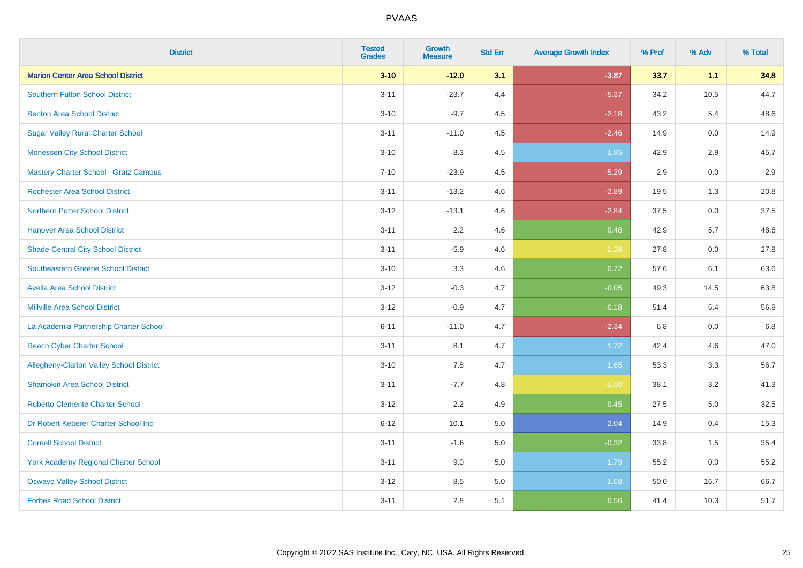| <b>District</b>                                 | <b>Tested</b><br><b>Grades</b> | <b>Growth</b><br><b>Measure</b> | <b>Std Err</b> | <b>Average Growth Index</b> | % Prof | % Adv   | % Total |
|-------------------------------------------------|--------------------------------|---------------------------------|----------------|-----------------------------|--------|---------|---------|
| <b>Marion Center Area School District</b>       | $3 - 10$                       | $-12.0$                         | 3.1            | $-3.87$                     | 33.7   | 1.1     | 34.8    |
| <b>Southern Fulton School District</b>          | $3 - 11$                       | $-23.7$                         | 4.4            | $-5.37$                     | 34.2   | 10.5    | 44.7    |
| <b>Benton Area School District</b>              | $3 - 10$                       | $-9.7$                          | 4.5            | $-2.18$                     | 43.2   | 5.4     | 48.6    |
| <b>Sugar Valley Rural Charter School</b>        | $3 - 11$                       | $-11.0$                         | 4.5            | $-2.46$                     | 14.9   | $0.0\,$ | 14.9    |
| <b>Monessen City School District</b>            | $3 - 10$                       | 8.3                             | 4.5            | 1.85                        | 42.9   | 2.9     | 45.7    |
| <b>Mastery Charter School - Gratz Campus</b>    | $7 - 10$                       | $-23.9$                         | 4.5            | $-5.29$                     | 2.9    | 0.0     | 2.9     |
| <b>Rochester Area School District</b>           | $3 - 11$                       | $-13.2$                         | 4.6            | $-2.89$                     | 19.5   | 1.3     | 20.8    |
| <b>Northern Potter School District</b>          | $3 - 12$                       | $-13.1$                         | 4.6            | $-2.84$                     | 37.5   | 0.0     | 37.5    |
| <b>Hanover Area School District</b>             | $3 - 11$                       | 2.2                             | 4.6            | 0.48                        | 42.9   | 5.7     | 48.6    |
| <b>Shade-Central City School District</b>       | $3 - 11$                       | $-5.9$                          | 4.6            | $-1.28$                     | 27.8   | 0.0     | 27.8    |
| <b>Southeastern Greene School District</b>      | $3 - 10$                       | 3.3                             | 4.6            | 0.72                        | 57.6   | 6.1     | 63.6    |
| <b>Avella Area School District</b>              | $3 - 12$                       | $-0.3$                          | 4.7            | $-0.05$                     | 49.3   | 14.5    | 63.8    |
| <b>Millville Area School District</b>           | $3 - 12$                       | $-0.9$                          | 4.7            | $-0.18$                     | 51.4   | 5.4     | 56.8    |
| La Academia Partnership Charter School          | $6 - 11$                       | $-11.0$                         | 4.7            | $-2.34$                     | 6.8    | 0.0     | 6.8     |
| <b>Reach Cyber Charter School</b>               | $3 - 11$                       | 8.1                             | 4.7            | 1.72                        | 42.4   | 4.6     | 47.0    |
| <b>Allegheny-Clarion Valley School District</b> | $3 - 10$                       | 7.8                             | 4.7            | 1.65                        | 53.3   | 3.3     | 56.7    |
| <b>Shamokin Area School District</b>            | $3 - 11$                       | $-7.7$                          | 4.8            | $-1.60$                     | 38.1   | 3.2     | 41.3    |
| <b>Roberto Clemente Charter School</b>          | $3 - 12$                       | 2.2                             | 4.9            | 0.45                        | 27.5   | 5.0     | 32.5    |
| Dr Robert Ketterer Charter School Inc           | $6 - 12$                       | 10.1                            | 5.0            | 2.04                        | 14.9   | 0.4     | 15.3    |
| <b>Cornell School District</b>                  | $3 - 11$                       | $-1.6$                          | 5.0            | $-0.32$                     | 33.8   | 1.5     | 35.4    |
| York Academy Regional Charter School            | $3 - 11$                       | 9.0                             | 5.0            | 1.79                        | 55.2   | 0.0     | 55.2    |
| <b>Oswayo Valley School District</b>            | $3 - 12$                       | 8.5                             | 5.0            | 1.68                        | 50.0   | 16.7    | 66.7    |
| <b>Forbes Road School District</b>              | $3 - 11$                       | 2.8                             | 5.1            | 0.56                        | 41.4   | 10.3    | 51.7    |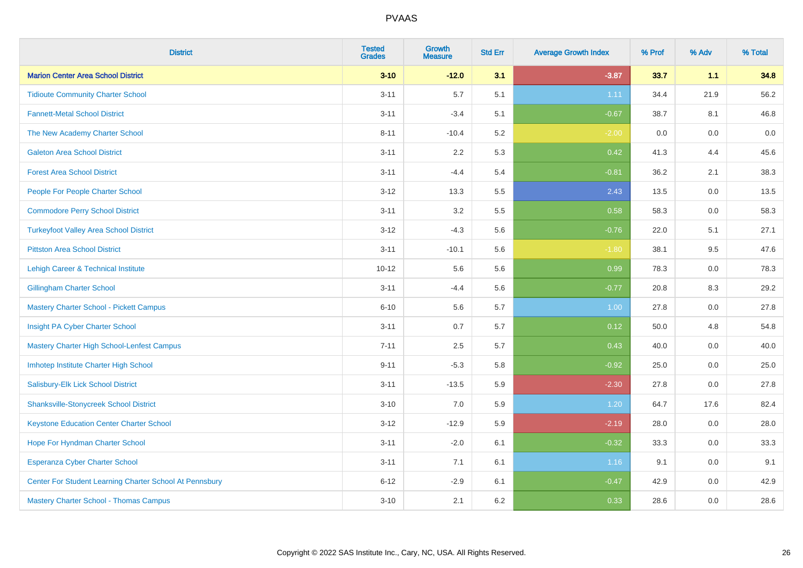| <b>District</b>                                         | <b>Tested</b><br><b>Grades</b> | <b>Growth</b><br><b>Measure</b> | <b>Std Err</b> | <b>Average Growth Index</b> | % Prof | % Adv   | % Total |
|---------------------------------------------------------|--------------------------------|---------------------------------|----------------|-----------------------------|--------|---------|---------|
| <b>Marion Center Area School District</b>               | $3 - 10$                       | $-12.0$                         | 3.1            | $-3.87$                     | 33.7   | 1.1     | 34.8    |
| <b>Tidioute Community Charter School</b>                | $3 - 11$                       | 5.7                             | 5.1            | 1.11                        | 34.4   | 21.9    | 56.2    |
| <b>Fannett-Metal School District</b>                    | $3 - 11$                       | $-3.4$                          | 5.1            | $-0.67$                     | 38.7   | 8.1     | 46.8    |
| The New Academy Charter School                          | $8 - 11$                       | $-10.4$                         | 5.2            | $-2.00$                     | 0.0    | $0.0\,$ | $0.0\,$ |
| <b>Galeton Area School District</b>                     | $3 - 11$                       | 2.2                             | 5.3            | 0.42                        | 41.3   | 4.4     | 45.6    |
| <b>Forest Area School District</b>                      | $3 - 11$                       | $-4.4$                          | 5.4            | $-0.81$                     | 36.2   | 2.1     | 38.3    |
| People For People Charter School                        | $3 - 12$                       | 13.3                            | 5.5            | 2.43                        | 13.5   | 0.0     | 13.5    |
| <b>Commodore Perry School District</b>                  | $3 - 11$                       | 3.2                             | 5.5            | 0.58                        | 58.3   | 0.0     | 58.3    |
| <b>Turkeyfoot Valley Area School District</b>           | $3 - 12$                       | $-4.3$                          | 5.6            | $-0.76$                     | 22.0   | 5.1     | 27.1    |
| <b>Pittston Area School District</b>                    | $3 - 11$                       | $-10.1$                         | 5.6            | $-1.80$                     | 38.1   | 9.5     | 47.6    |
| Lehigh Career & Technical Institute                     | $10 - 12$                      | 5.6                             | 5.6            | 0.99                        | 78.3   | 0.0     | 78.3    |
| <b>Gillingham Charter School</b>                        | $3 - 11$                       | $-4.4$                          | 5.6            | $-0.77$                     | 20.8   | 8.3     | 29.2    |
| <b>Mastery Charter School - Pickett Campus</b>          | $6 - 10$                       | 5.6                             | 5.7            | 1.00                        | 27.8   | 0.0     | 27.8    |
| Insight PA Cyber Charter School                         | $3 - 11$                       | 0.7                             | 5.7            | 0.12                        | 50.0   | 4.8     | 54.8    |
| Mastery Charter High School-Lenfest Campus              | $7 - 11$                       | 2.5                             | 5.7            | 0.43                        | 40.0   | 0.0     | 40.0    |
| Imhotep Institute Charter High School                   | $9 - 11$                       | $-5.3$                          | 5.8            | $-0.92$                     | 25.0   | 0.0     | 25.0    |
| Salisbury-Elk Lick School District                      | $3 - 11$                       | $-13.5$                         | 5.9            | $-2.30$                     | 27.8   | 0.0     | 27.8    |
| <b>Shanksville-Stonycreek School District</b>           | $3 - 10$                       | 7.0                             | 5.9            | 1.20                        | 64.7   | 17.6    | 82.4    |
| <b>Keystone Education Center Charter School</b>         | $3 - 12$                       | $-12.9$                         | 5.9            | $-2.19$                     | 28.0   | 0.0     | 28.0    |
| Hope For Hyndman Charter School                         | $3 - 11$                       | $-2.0$                          | 6.1            | $-0.32$                     | 33.3   | 0.0     | 33.3    |
| Esperanza Cyber Charter School                          | $3 - 11$                       | 7.1                             | 6.1            | 1.16                        | 9.1    | 0.0     | 9.1     |
| Center For Student Learning Charter School At Pennsbury | $6 - 12$                       | $-2.9$                          | 6.1            | $-0.47$                     | 42.9   | 0.0     | 42.9    |
| <b>Mastery Charter School - Thomas Campus</b>           | $3 - 10$                       | 2.1                             | 6.2            | 0.33                        | 28.6   | 0.0     | 28.6    |